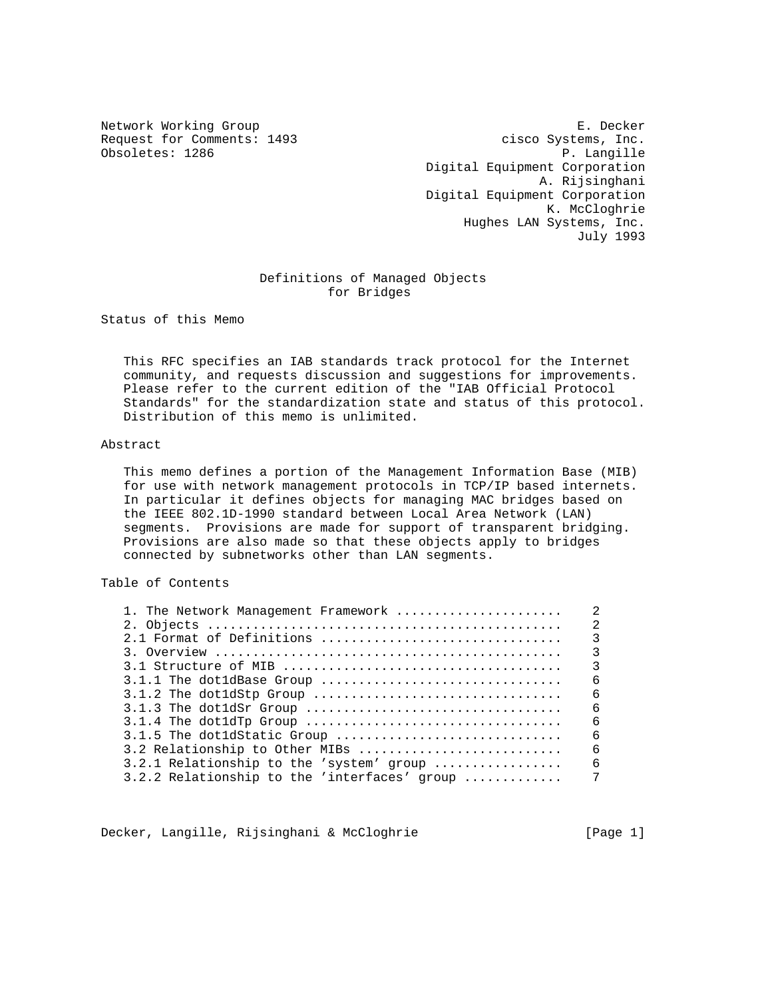Obsoletes: 1286

Network Working Group **E. Decker** Request for Comments: 1493 cisco Systems, Inc.<br>
Obsoletes: 1286 P. Langille Digital Equipment Corporation A. Rijsinghani Digital Equipment Corporation K. McCloghrie Hughes LAN Systems, Inc. July 1993

### Definitions of Managed Objects for Bridges

Status of this Memo

 This RFC specifies an IAB standards track protocol for the Internet community, and requests discussion and suggestions for improvements. Please refer to the current edition of the "IAB Official Protocol Standards" for the standardization state and status of this protocol. Distribution of this memo is unlimited.

#### Abstract

 This memo defines a portion of the Management Information Base (MIB) for use with network management protocols in TCP/IP based internets. In particular it defines objects for managing MAC bridges based on the IEEE 802.1D-1990 standard between Local Area Network (LAN) segments. Provisions are made for support of transparent bridging. Provisions are also made so that these objects apply to bridges connected by subnetworks other than LAN segments.

# Table of Contents

| 1. The Network Management Framework          | $\mathfrak{D}$          |
|----------------------------------------------|-------------------------|
|                                              | $\mathfrak{D}$          |
| 2.1 Format of Definitions                    | $\overline{\mathbf{3}}$ |
|                                              | $\mathcal{E}$           |
|                                              | $\overline{3}$          |
|                                              | 6                       |
|                                              | 6                       |
|                                              | 6                       |
|                                              | 6                       |
| 3.1.5 The dot1dStatic Group                  | 6                       |
| 3.2 Relationship to Other MIBs               | 6                       |
| 3.2.1 Relationship to the 'system' group     | 6                       |
| 3.2.2 Relationship to the 'interfaces' group | 7                       |
|                                              |                         |

Decker, Langille, Rijsinghani & McCloghrie [Page 1]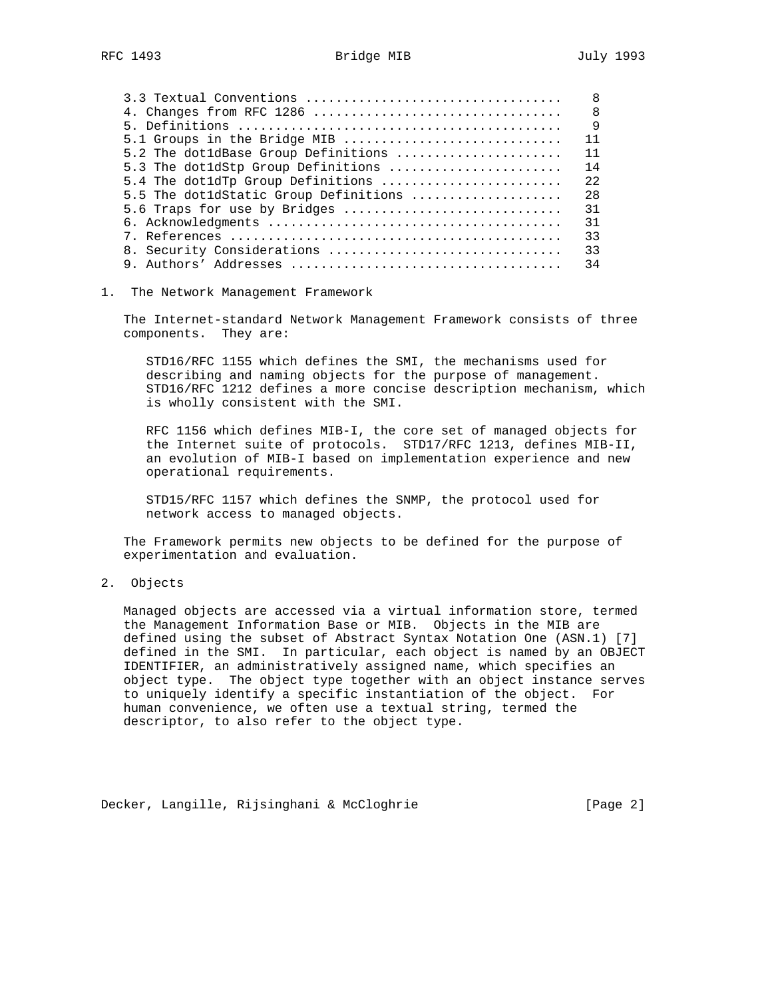| 3.3 Textual Conventions               | $\mathsf{R}$ |
|---------------------------------------|--------------|
| 4. Changes from RFC 1286              | -8           |
|                                       | $\mathsf{Q}$ |
| 5.1 Groups in the Bridge MIB          | 11           |
| 5.2 The dot1dBase Group Definitions   | 11           |
| 5.3 The dot1dStp Group Definitions    | 14           |
| 5.4 The dot1dTp Group Definitions     | 2.2          |
| 5.5 The dotldStatic Group Definitions | 28           |
| 5.6 Traps for use by Bridges          | 31           |
|                                       | 31           |
|                                       | 33           |
| 8. Security Considerations            | 33           |
|                                       | 34           |
|                                       |              |

#### 1. The Network Management Framework

 The Internet-standard Network Management Framework consists of three components. They are:

 STD16/RFC 1155 which defines the SMI, the mechanisms used for describing and naming objects for the purpose of management. STD16/RFC 1212 defines a more concise description mechanism, which is wholly consistent with the SMI.

 RFC 1156 which defines MIB-I, the core set of managed objects for the Internet suite of protocols. STD17/RFC 1213, defines MIB-II, an evolution of MIB-I based on implementation experience and new operational requirements.

 STD15/RFC 1157 which defines the SNMP, the protocol used for network access to managed objects.

 The Framework permits new objects to be defined for the purpose of experimentation and evaluation.

### 2. Objects

 Managed objects are accessed via a virtual information store, termed the Management Information Base or MIB. Objects in the MIB are defined using the subset of Abstract Syntax Notation One (ASN.1) [7] defined in the SMI. In particular, each object is named by an OBJECT IDENTIFIER, an administratively assigned name, which specifies an object type. The object type together with an object instance serves to uniquely identify a specific instantiation of the object. For human convenience, we often use a textual string, termed the descriptor, to also refer to the object type.

Decker, Langille, Rijsinghani & McCloghrie [Page 2]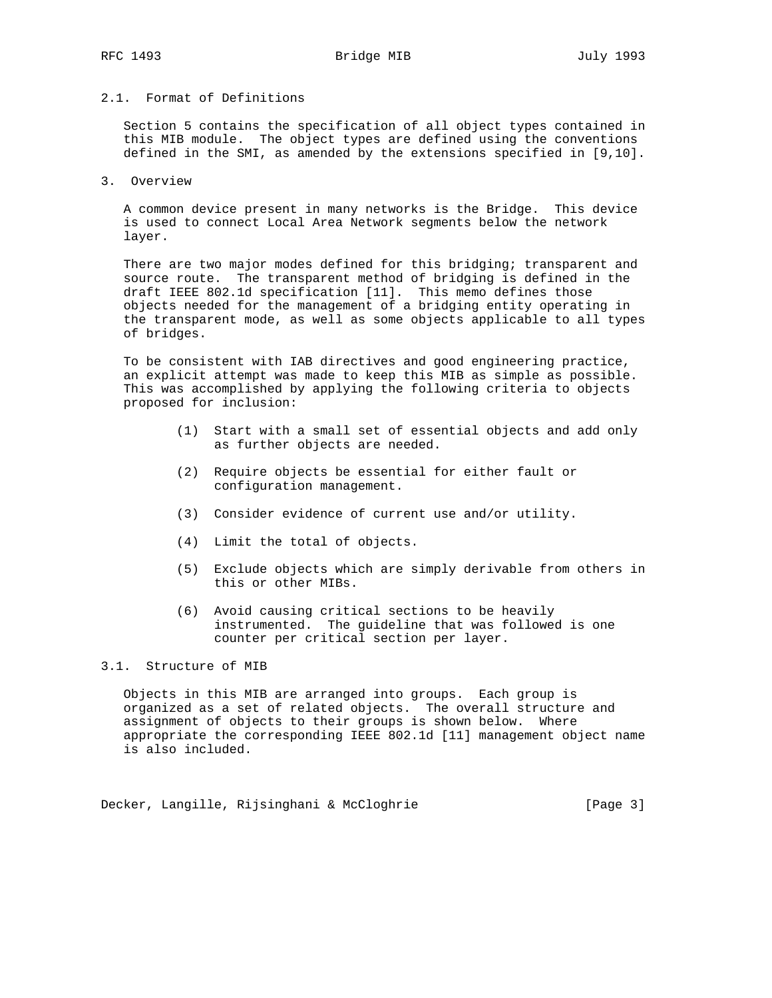# 2.1. Format of Definitions

 Section 5 contains the specification of all object types contained in this MIB module. The object types are defined using the conventions defined in the SMI, as amended by the extensions specified in [9,10].

3. Overview

 A common device present in many networks is the Bridge. This device is used to connect Local Area Network segments below the network layer.

 There are two major modes defined for this bridging; transparent and source route. The transparent method of bridging is defined in the draft IEEE 802.1d specification [11]. This memo defines those objects needed for the management of a bridging entity operating in the transparent mode, as well as some objects applicable to all types of bridges.

 To be consistent with IAB directives and good engineering practice, an explicit attempt was made to keep this MIB as simple as possible. This was accomplished by applying the following criteria to objects proposed for inclusion:

- (1) Start with a small set of essential objects and add only as further objects are needed.
- (2) Require objects be essential for either fault or configuration management.
- (3) Consider evidence of current use and/or utility.
- (4) Limit the total of objects.
- (5) Exclude objects which are simply derivable from others in this or other MIBs.
- (6) Avoid causing critical sections to be heavily instrumented. The guideline that was followed is one counter per critical section per layer.

## 3.1. Structure of MIB

 Objects in this MIB are arranged into groups. Each group is organized as a set of related objects. The overall structure and assignment of objects to their groups is shown below. Where appropriate the corresponding IEEE 802.1d [11] management object name is also included.

Decker, Langille, Rijsinghani & McCloghrie [Page 3]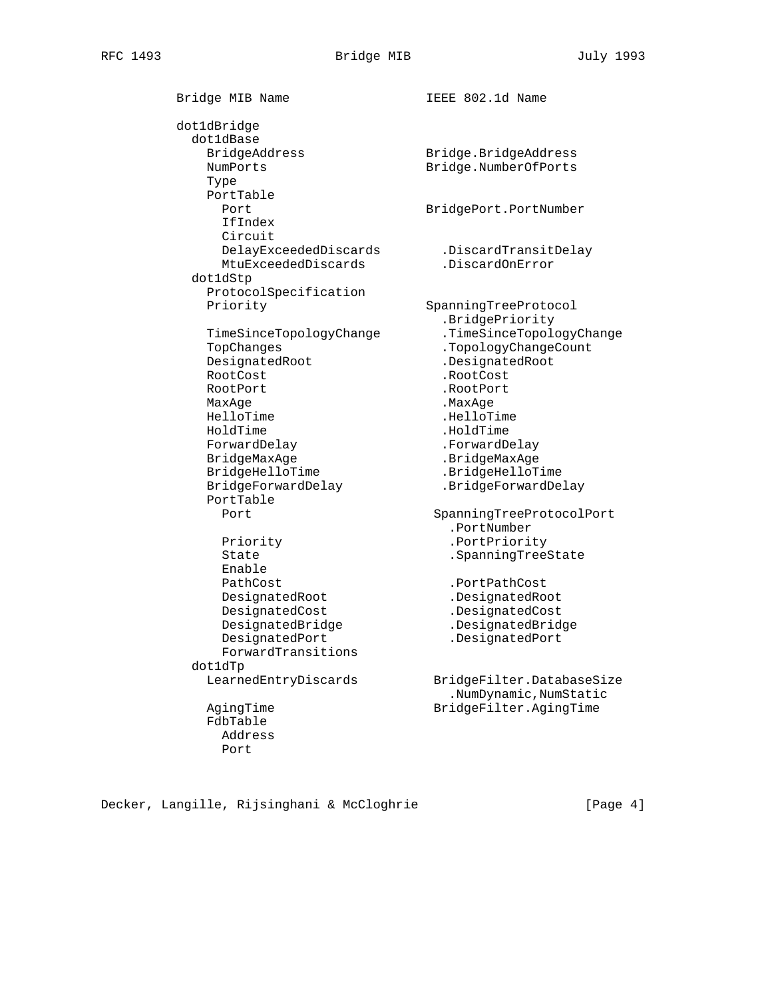Bridge MIB Name **IEEE 802.1d Name**  dot1dBridge dot1dBase NumPorts Bridge.NumberOfPorts Type PortTable Port **BridgePort.PortNumber**  IfIndex Circuit MtuExceededDiscards .DiscardOnError dot1dStp ProtocolSpecification Priority SpanningTreeProtocol TopChanges .TopologyChangeCount DesignatedRoot .DesignatedRoot RootCost .RootCost RootPort .RootPort MaxAge . MaxAge HelloTime . HelloTime HoldTime . HoldTime ForwardDelay .ForwardDelay BridgeMaxAge .BridgeMaxAge BridgeHelloTime .BridgeHelloTime BridgeForwardDelay .BridgeForwardDelay PortTable Priority .PortPriority State . SpanningTreeState Enable PathCost .PortPathCost Pathcost<br>DesignatedRoot .DesignatedRoot<br>DesignatedRoot DesignatedCost .DesignatedCost DesignatedBridge .DesignatedBridge DesignatedPort .DesignatedPort ForwardTransitions dot1dTp AgingTime BridgeFilter.AgingTime FdbTable

Bridge.BridgeAddress DelayExceededDiscards .DiscardTransitDelay .BridgePriority TimeSinceTopologyChange .TimeSinceTopologyChange Port SpanningTreeProtocolPort .PortNumber LearnedEntryDiscards BridgeFilter.DatabaseSize .NumDynamic,NumStatic

Decker, Langille, Rijsinghani & McCloghrie [Page 4]

 Address Port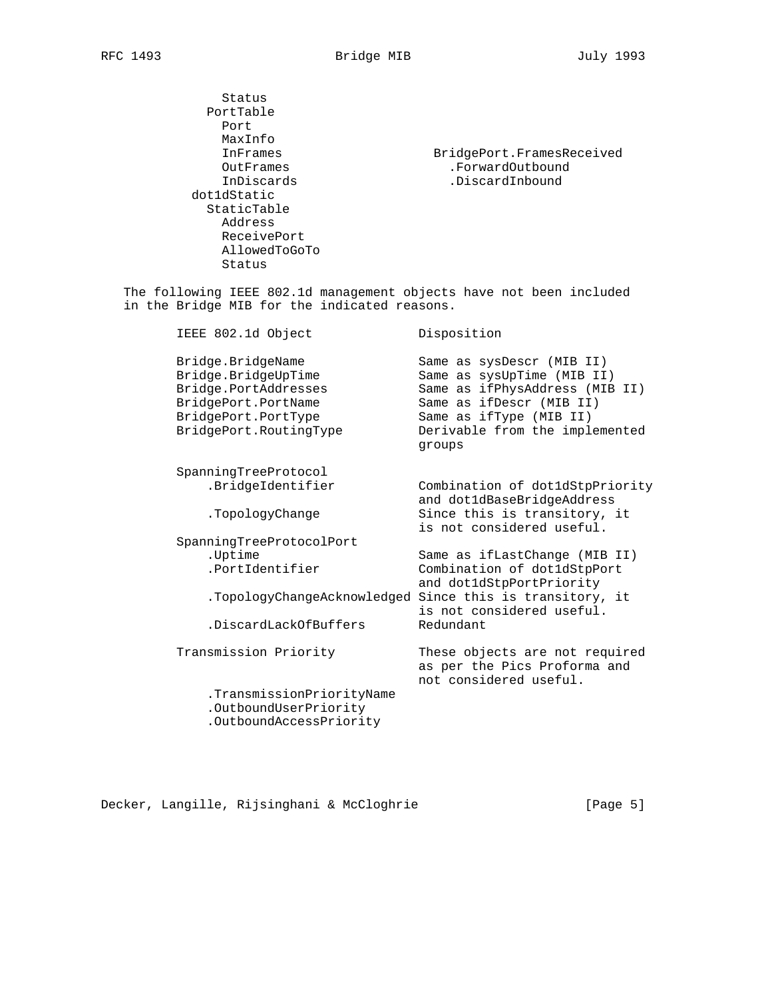Status PortTable Port MaxInfo InFrames BridgePort.FramesReceived OutFrames .ForwardOutbound InDiscards .DiscardInbound .DiscardInbound dot1dStatic StaticTable Address ReceivePort AllowedToGoTo Status

 The following IEEE 802.1d management objects have not been included in the Bridge MIB for the indicated reasons.

| IEEE 802.1d Object                                                                                                                       | Disposition                                                                                                                                                                                  |
|------------------------------------------------------------------------------------------------------------------------------------------|----------------------------------------------------------------------------------------------------------------------------------------------------------------------------------------------|
| Bridge.BridgeName<br>Bridge.BridgeUpTime<br>Bridge.PortAddresses<br>BridgePort.PortName<br>BridgePort.PortType<br>BridgePort.RoutingType | Same as sysDescr (MIB II)<br>Same as sysUpTime (MIB II)<br>Same as ifPhysAddress (MIB II)<br>Same as ifDescr (MIB II)<br>Same as ifType (MIB II)<br>Derivable from the implemented<br>groups |
| SpanningTreeProtocol<br>.BridgeIdentifier                                                                                                | Combination of dot1dStpPriority                                                                                                                                                              |
| .TopologyChange                                                                                                                          | and dot1dBaseBridgeAddress<br>Since this is transitory, it<br>is not considered useful.                                                                                                      |
| SpanningTreeProtocolPort                                                                                                                 |                                                                                                                                                                                              |
| .Uptime                                                                                                                                  | Same as ifLastChange (MIB II)                                                                                                                                                                |
| .PortIdentifier                                                                                                                          | Combination of dot1dStpPort<br>and dot1dStpPortPriority                                                                                                                                      |
|                                                                                                                                          | .TopologyChangeAcknowledged Since this is transitory, it<br>is not considered useful.                                                                                                        |
| .DiscardLackOfBuffers                                                                                                                    | Redundant                                                                                                                                                                                    |
| Transmission Priority                                                                                                                    | These objects are not required<br>as per the Pics Proforma and<br>not considered useful.                                                                                                     |
| .TransmissionPriorityName<br>.OutboundUserPriority<br>.OutboundAccessPriority                                                            |                                                                                                                                                                                              |

Decker, Langille, Rijsinghani & McCloghrie [Page 5]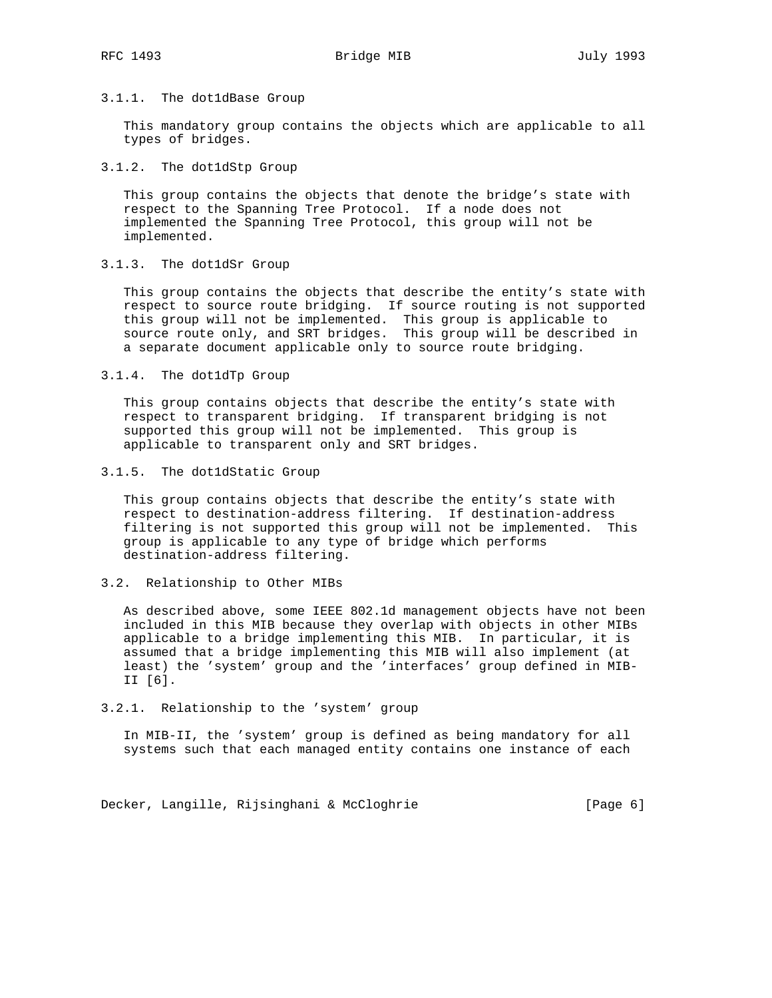### 3.1.1. The dot1dBase Group

 This mandatory group contains the objects which are applicable to all types of bridges.

### 3.1.2. The dot1dStp Group

 This group contains the objects that denote the bridge's state with respect to the Spanning Tree Protocol. If a node does not implemented the Spanning Tree Protocol, this group will not be implemented.

### 3.1.3. The dot1dSr Group

 This group contains the objects that describe the entity's state with respect to source route bridging. If source routing is not supported this group will not be implemented. This group is applicable to source route only, and SRT bridges. This group will be described in a separate document applicable only to source route bridging.

#### 3.1.4. The dot1dTp Group

 This group contains objects that describe the entity's state with respect to transparent bridging. If transparent bridging is not supported this group will not be implemented. This group is applicable to transparent only and SRT bridges.

### 3.1.5. The dot1dStatic Group

 This group contains objects that describe the entity's state with respect to destination-address filtering. If destination-address filtering is not supported this group will not be implemented. This group is applicable to any type of bridge which performs destination-address filtering.

#### 3.2. Relationship to Other MIBs

 As described above, some IEEE 802.1d management objects have not been included in this MIB because they overlap with objects in other MIBs applicable to a bridge implementing this MIB. In particular, it is assumed that a bridge implementing this MIB will also implement (at least) the 'system' group and the 'interfaces' group defined in MIB- II [6].

#### 3.2.1. Relationship to the 'system' group

 In MIB-II, the 'system' group is defined as being mandatory for all systems such that each managed entity contains one instance of each

Decker, Langille, Rijsinghani & McCloghrie [Page 6]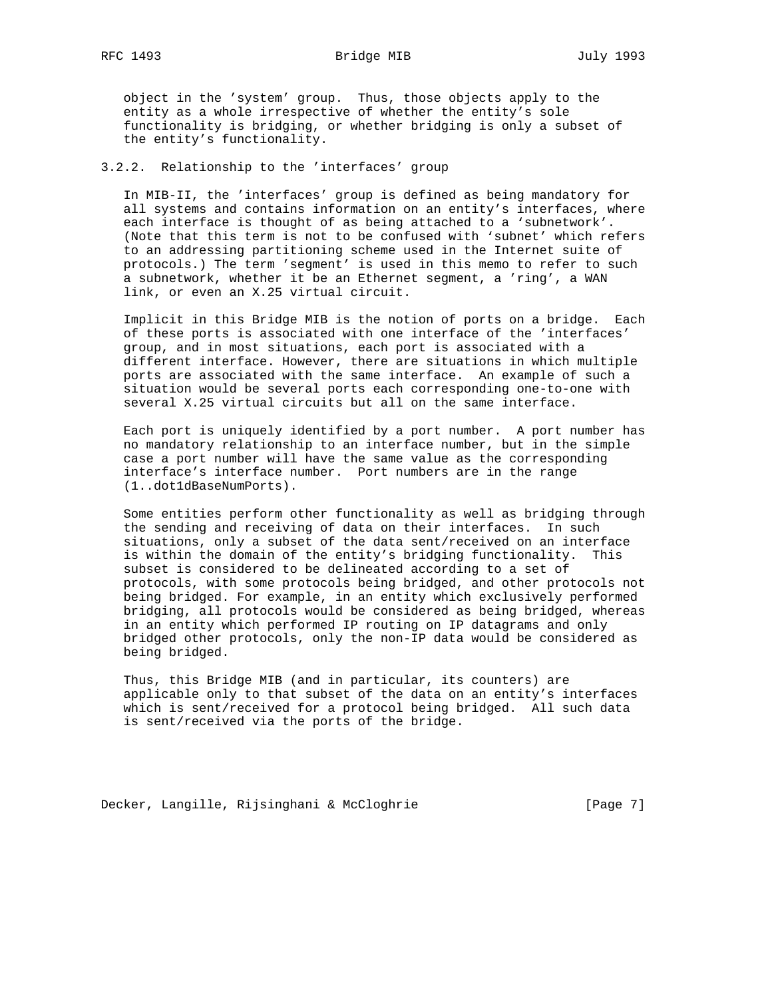object in the 'system' group. Thus, those objects apply to the

 entity as a whole irrespective of whether the entity's sole functionality is bridging, or whether bridging is only a subset of the entity's functionality.

### 3.2.2. Relationship to the 'interfaces' group

 In MIB-II, the 'interfaces' group is defined as being mandatory for all systems and contains information on an entity's interfaces, where each interface is thought of as being attached to a 'subnetwork'. (Note that this term is not to be confused with 'subnet' which refers to an addressing partitioning scheme used in the Internet suite of protocols.) The term 'segment' is used in this memo to refer to such a subnetwork, whether it be an Ethernet segment, a 'ring', a WAN link, or even an X.25 virtual circuit.

 Implicit in this Bridge MIB is the notion of ports on a bridge. Each of these ports is associated with one interface of the 'interfaces' group, and in most situations, each port is associated with a different interface. However, there are situations in which multiple ports are associated with the same interface. An example of such a situation would be several ports each corresponding one-to-one with several X.25 virtual circuits but all on the same interface.

 Each port is uniquely identified by a port number. A port number has no mandatory relationship to an interface number, but in the simple case a port number will have the same value as the corresponding interface's interface number. Port numbers are in the range (1..dot1dBaseNumPorts).

 Some entities perform other functionality as well as bridging through the sending and receiving of data on their interfaces. In such situations, only a subset of the data sent/received on an interface is within the domain of the entity's bridging functionality. This subset is considered to be delineated according to a set of protocols, with some protocols being bridged, and other protocols not being bridged. For example, in an entity which exclusively performed bridging, all protocols would be considered as being bridged, whereas in an entity which performed IP routing on IP datagrams and only bridged other protocols, only the non-IP data would be considered as being bridged.

 Thus, this Bridge MIB (and in particular, its counters) are applicable only to that subset of the data on an entity's interfaces which is sent/received for a protocol being bridged. All such data is sent/received via the ports of the bridge.

Decker, Langille, Rijsinghani & McCloghrie [Page 7]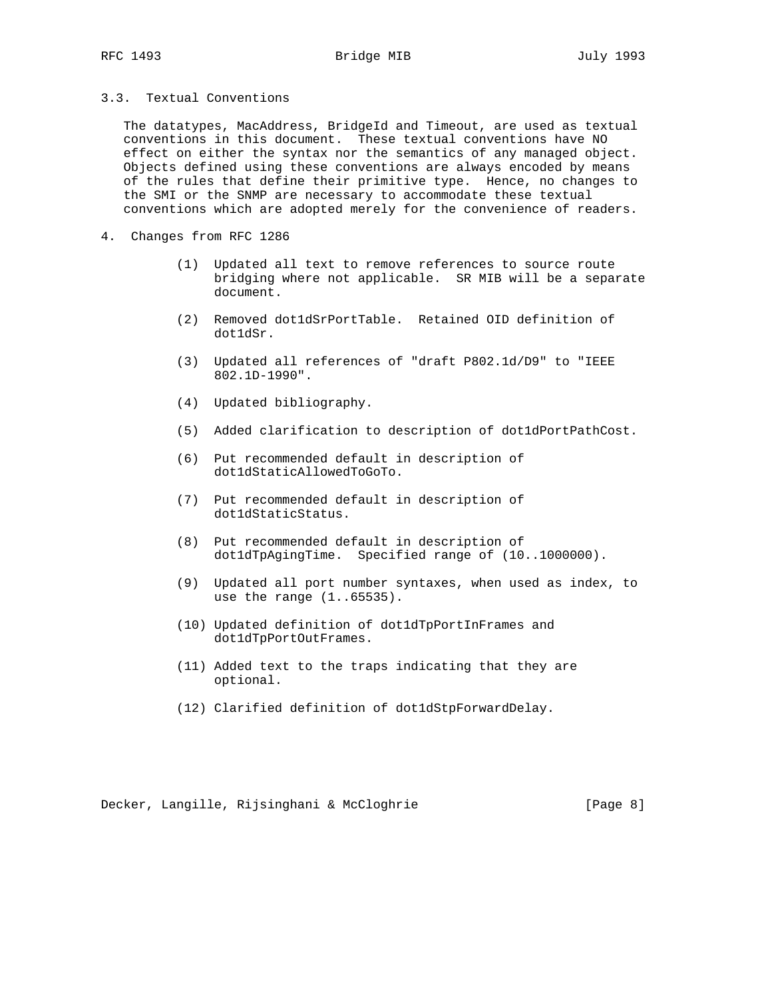3.3. Textual Conventions

 The datatypes, MacAddress, BridgeId and Timeout, are used as textual conventions in this document. These textual conventions have NO effect on either the syntax nor the semantics of any managed object. Objects defined using these conventions are always encoded by means of the rules that define their primitive type. Hence, no changes to the SMI or the SNMP are necessary to accommodate these textual conventions which are adopted merely for the convenience of readers.

- 4. Changes from RFC 1286
	- (1) Updated all text to remove references to source route bridging where not applicable. SR MIB will be a separate document.
	- (2) Removed dot1dSrPortTable. Retained OID definition of dot1dSr.
	- (3) Updated all references of "draft P802.1d/D9" to "IEEE 802.1D-1990".
	- (4) Updated bibliography.
	- (5) Added clarification to description of dot1dPortPathCost.
	- (6) Put recommended default in description of dot1dStaticAllowedToGoTo.
	- (7) Put recommended default in description of dot1dStaticStatus.
	- (8) Put recommended default in description of dot1dTpAgingTime. Specified range of (10..1000000).
	- (9) Updated all port number syntaxes, when used as index, to use the range (1..65535).
	- (10) Updated definition of dot1dTpPortInFrames and dot1dTpPortOutFrames.
	- (11) Added text to the traps indicating that they are optional.
	- (12) Clarified definition of dot1dStpForwardDelay.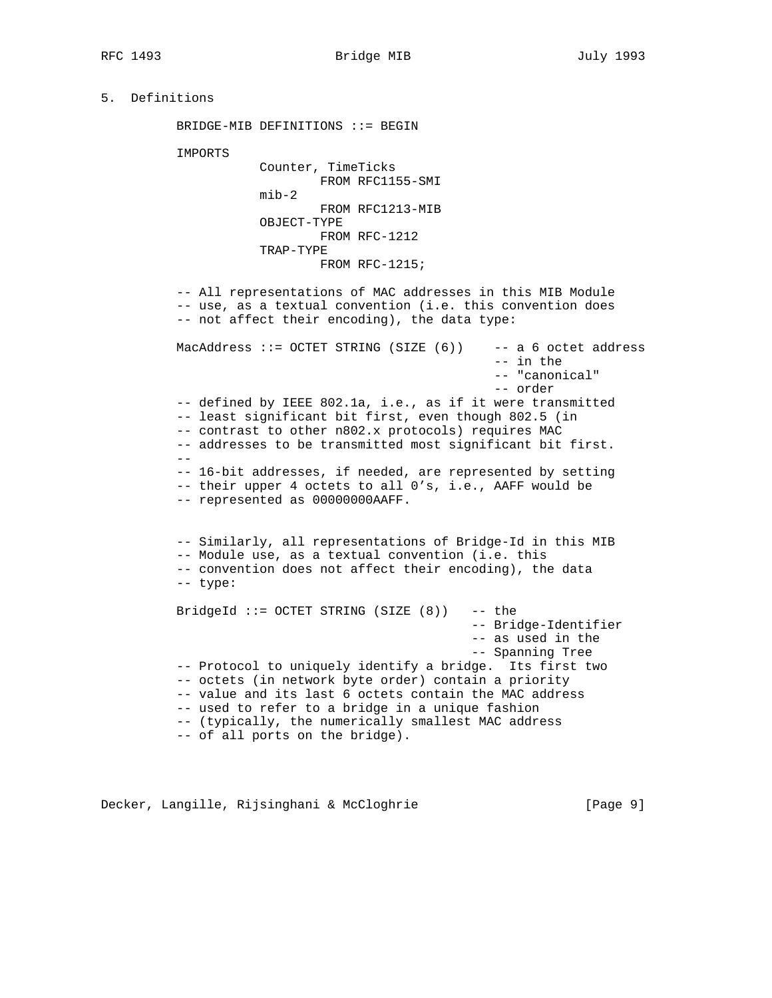# 5. Definitions

BRIDGE-MIB DEFINITIONS ::= BEGIN

IMPORTS

```
 Counter, TimeTicks
         FROM RFC1155-SMI
 mib-2
         FROM RFC1213-MIB
 OBJECT-TYPE
         FROM RFC-1212
 TRAP-TYPE
         FROM RFC-1215;
```
 -- All representations of MAC addresses in this MIB Module -- use, as a textual convention (i.e. this convention does -- not affect their encoding), the data type:

MacAddress ::= OCTET STRING (SIZE (6)) -- a 6 octet address -- in the -- "canonical" -- order -- defined by IEEE 802.1a, i.e., as if it were transmitted -- least significant bit first, even though 802.5 (in -- contrast to other n802.x protocols) requires MAC -- addresses to be transmitted most significant bit first. -- -- 16-bit addresses, if needed, are represented by setting -- their upper 4 octets to all 0's, i.e., AAFF would be -- represented as 00000000AAFF. -- Similarly, all representations of Bridge-Id in this MIB -- Module use, as a textual convention (i.e. this -- convention does not affect their encoding), the data -- type: BridgeId  $::=$  OCTET STRING (SIZE  $(8)$ ) -- the -- Bridge-Identifier -- as used in the -- Spanning Tree -- Protocol to uniquely identify a bridge. Its first two -- octets (in network byte order) contain a priority -- value and its last 6 octets contain the MAC address -- used to refer to a bridge in a unique fashion -- (typically, the numerically smallest MAC address -- of all ports on the bridge).

Decker, Langille, Rijsinghani & McCloghrie [Page 9]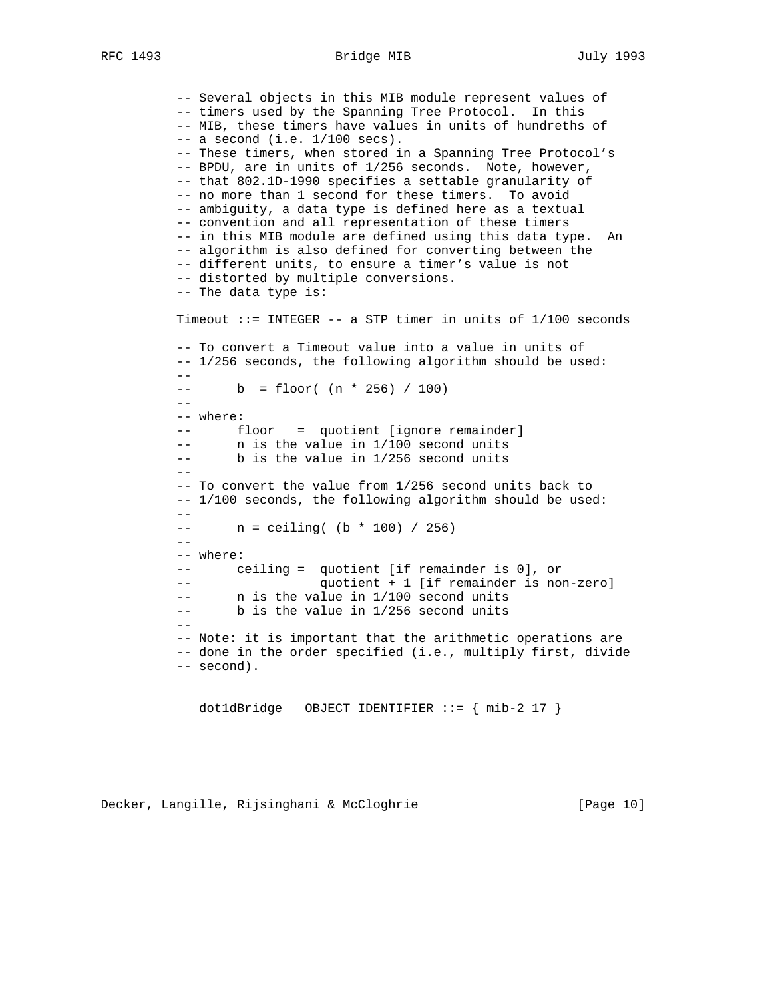RFC 1493 Bridge MIB July 1993

 -- Several objects in this MIB module represent values of -- timers used by the Spanning Tree Protocol. In this -- MIB, these timers have values in units of hundreths of  $--$  a second (i.e.  $1/100$  secs). -- These timers, when stored in a Spanning Tree Protocol's -- BPDU, are in units of 1/256 seconds. Note, however, -- that 802.1D-1990 specifies a settable granularity of -- no more than 1 second for these timers. To avoid -- ambiguity, a data type is defined here as a textual -- convention and all representation of these timers -- in this MIB module are defined using this data type. An -- algorithm is also defined for converting between the -- different units, to ensure a timer's value is not -- distorted by multiple conversions. -- The data type is: Timeout ::= INTEGER -- a STP timer in units of 1/100 seconds -- To convert a Timeout value into a value in units of -- 1/256 seconds, the following algorithm should be used:  $--$  b = floor(  $(n * 256) / 100$ ) -- -- where: -- floor = quotient [ignore remainder] -- n is the value in 1/100 second units -- b is the value in 1/256 second units -- -- To convert the value from 1/256 second units back to -- 1/100 seconds, the following algorithm should be used:  $- -$  -- n = ceiling( (b \* 100) / 256)  $- -$  -- where: -- ceiling = quotient [if remainder is 0], or -- quotient + 1 [if remainder is non-zero] -- n is the value in 1/100 second units -- b is the value in 1/256 second units -- -- Note: it is important that the arithmetic operations are -- done in the order specified (i.e., multiply first, divide -- second).

dot1dBridge OBJECT IDENTIFIER ::= { mib-2 17 }

Decker, Langille, Rijsinghani & McCloghrie [Page 10]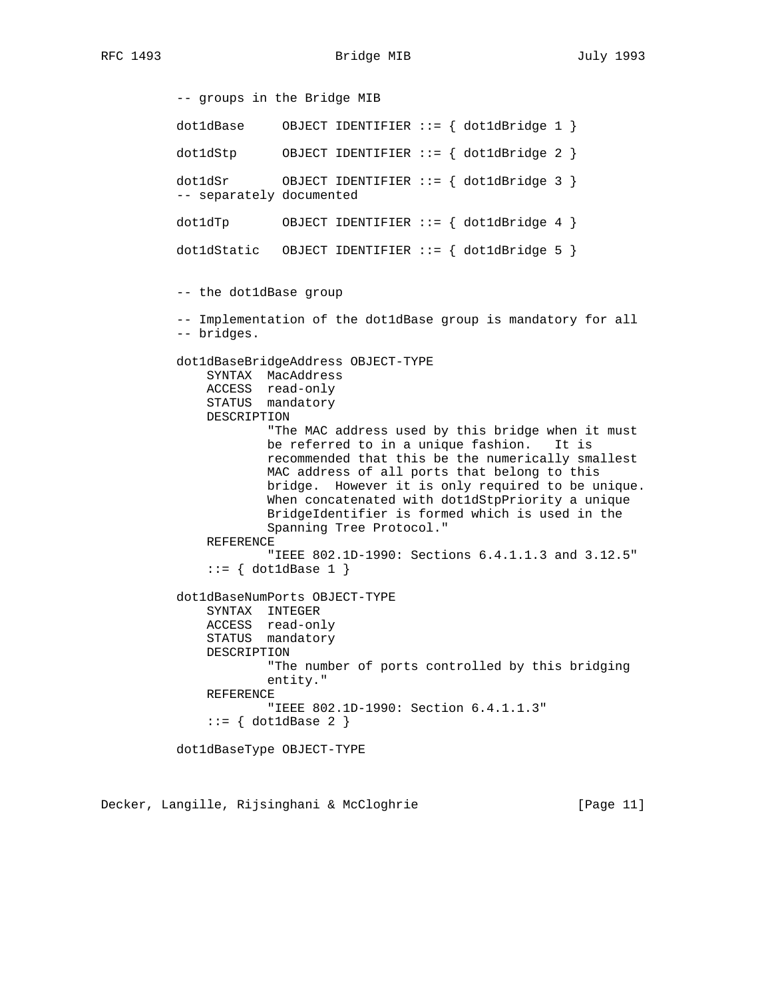RFC 1493 Bridge MIB July 1993

 -- groups in the Bridge MIB dot1dBase OBJECT IDENTIFIER  $::=$  { dot1dBridge 1 } dot1dStp OBJECT IDENTIFIER ::= { dot1dBridge 2 } dot1dSr OBJECT IDENTIFIER ::= { dot1dBridge 3 } -- separately documented dot1dTp OBJECT IDENTIFIER ::= { dot1dBridge 4 } dot1dStatic OBJECT IDENTIFIER ::= { dot1dBridge 5 } -- the dot1dBase group -- Implementation of the dot1dBase group is mandatory for all -- bridges. dot1dBaseBridgeAddress OBJECT-TYPE SYNTAX MacAddress ACCESS read-only STATUS mandatory DESCRIPTION "The MAC address used by this bridge when it must be referred to in a unique fashion. It is recommended that this be the numerically smallest MAC address of all ports that belong to this bridge. However it is only required to be unique. When concatenated with dot1dStpPriority a unique BridgeIdentifier is formed which is used in the Spanning Tree Protocol." REFERENCE "IEEE 802.1D-1990: Sections 6.4.1.1.3 and 3.12.5"  $::= \{ dot1dBase 1 \}$  dot1dBaseNumPorts OBJECT-TYPE SYNTAX INTEGER ACCESS read-only STATUS mandatory DESCRIPTION "The number of ports controlled by this bridging entity." REFERENCE "IEEE 802.1D-1990: Section 6.4.1.1.3"  $::=$  { dot1dBase 2 } dot1dBaseType OBJECT-TYPE

Decker, Langille, Rijsinghani & McCloghrie [Page 11]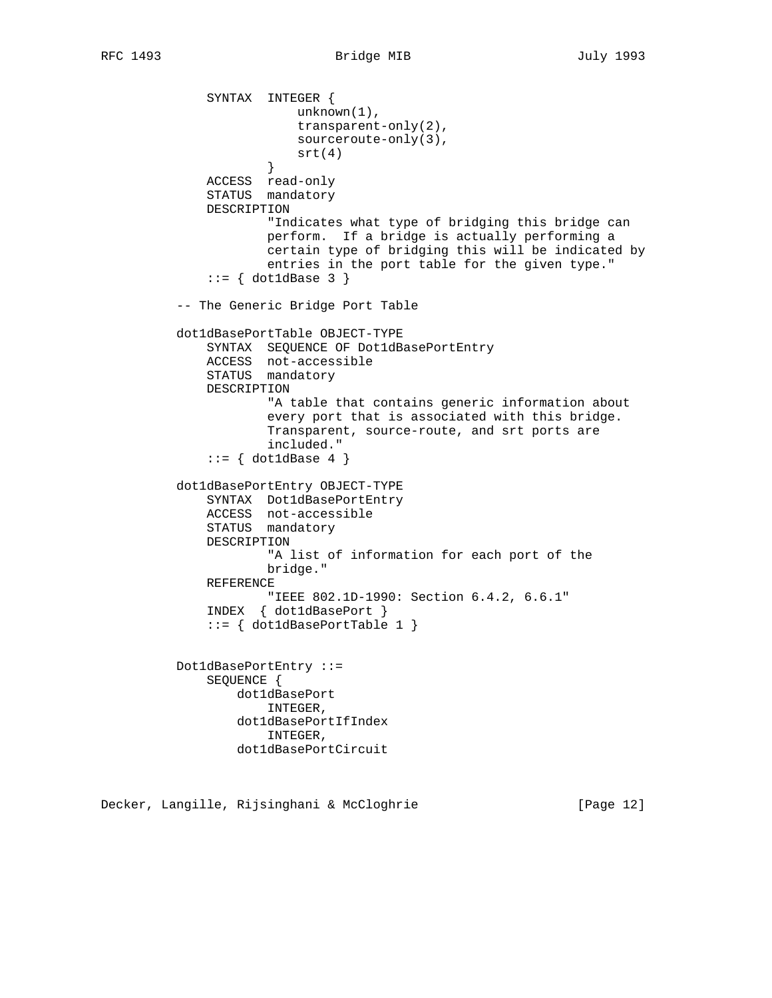```
 SYNTAX INTEGER {
                          unknown(1),
                           transparent-only(2),
                          sourceroute-only(3),
                      \text{str}(4) }
               ACCESS read-only
               STATUS mandatory
               DESCRIPTION
                       "Indicates what type of bridging this bridge can
                       perform. If a bridge is actually performing a
                       certain type of bridging this will be indicated by
                       entries in the port table for the given type."
              ::= \{ dot1dBase 3 \} -- The Generic Bridge Port Table
          dot1dBasePortTable OBJECT-TYPE
               SYNTAX SEQUENCE OF Dot1dBasePortEntry
               ACCESS not-accessible
               STATUS mandatory
               DESCRIPTION
                       "A table that contains generic information about
                       every port that is associated with this bridge.
                       Transparent, source-route, and srt ports are
                       included."
              ::= { dot1dBase 4 }
          dot1dBasePortEntry OBJECT-TYPE
               SYNTAX Dot1dBasePortEntry
               ACCESS not-accessible
              STATUS mandatory
              DESCRIPTION
                       "A list of information for each port of the
                      bridge."
               REFERENCE
                       "IEEE 802.1D-1990: Section 6.4.2, 6.6.1"
               INDEX { dot1dBasePort }
               ::= { dot1dBasePortTable 1 }
          Dot1dBasePortEntry ::=
               SEQUENCE {
                   dot1dBasePort
                       INTEGER,
                   dot1dBasePortIfIndex
                       INTEGER,
                   dot1dBasePortCircuit
```
Decker, Langille, Rijsinghani & McCloghrie [Page 12]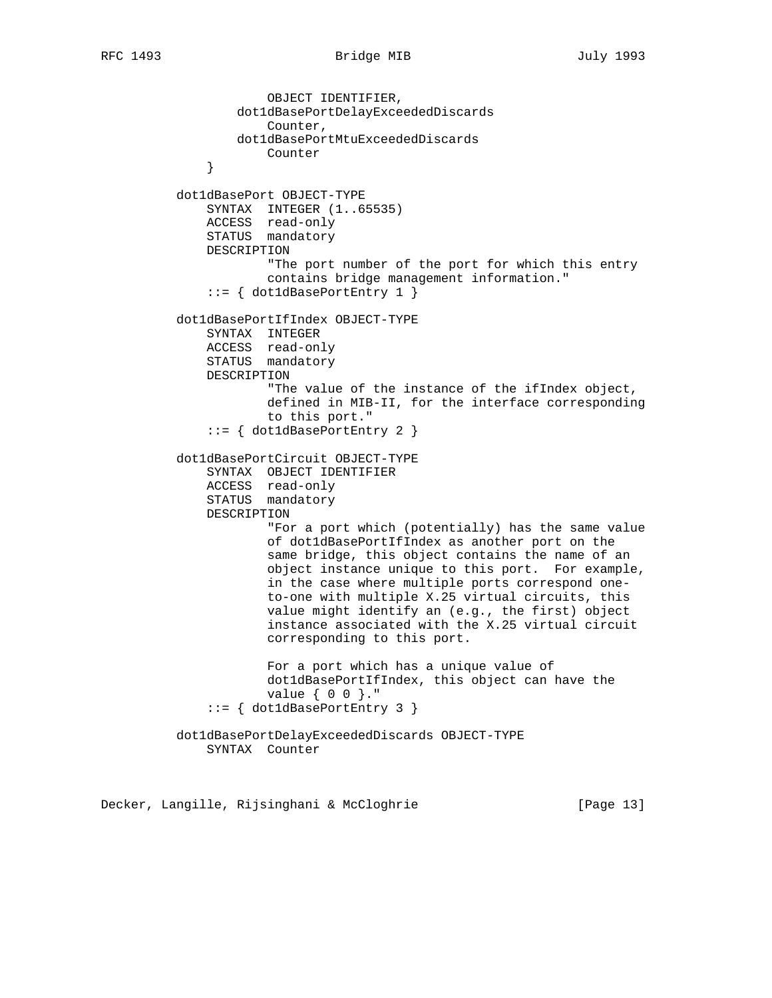```
 OBJECT IDENTIFIER,
                  dot1dBasePortDelayExceededDiscards
                      Counter,
                  dot1dBasePortMtuExceededDiscards
              Counter
 }
          dot1dBasePort OBJECT-TYPE
              SYNTAX INTEGER (1..65535)
              ACCESS read-only
              STATUS mandatory
              DESCRIPTION
                      "The port number of the port for which this entry
                      contains bridge management information."
              ::= { dot1dBasePortEntry 1 }
          dot1dBasePortIfIndex OBJECT-TYPE
              SYNTAX INTEGER
              ACCESS read-only
              STATUS mandatory
              DESCRIPTION
                      "The value of the instance of the ifIndex object,
                      defined in MIB-II, for the interface corresponding
                      to this port."
              ::= { dot1dBasePortEntry 2 }
          dot1dBasePortCircuit OBJECT-TYPE
              SYNTAX OBJECT IDENTIFIER
 ACCESS read-only
STATUS mandatory
              DESCRIPTION
                      "For a port which (potentially) has the same value
                      of dot1dBasePortIfIndex as another port on the
                      same bridge, this object contains the name of an
                      object instance unique to this port. For example,
                      in the case where multiple ports correspond one-
                      to-one with multiple X.25 virtual circuits, this
                      value might identify an (e.g., the first) object
                      instance associated with the X.25 virtual circuit
                      corresponding to this port.
                      For a port which has a unique value of
                      dot1dBasePortIfIndex, this object can have the
                      value { 0 0 }."
              ::= { dot1dBasePortEntry 3 }
          dot1dBasePortDelayExceededDiscards OBJECT-TYPE
              SYNTAX Counter
```
Decker, Langille, Rijsinghani & McCloghrie [Page 13]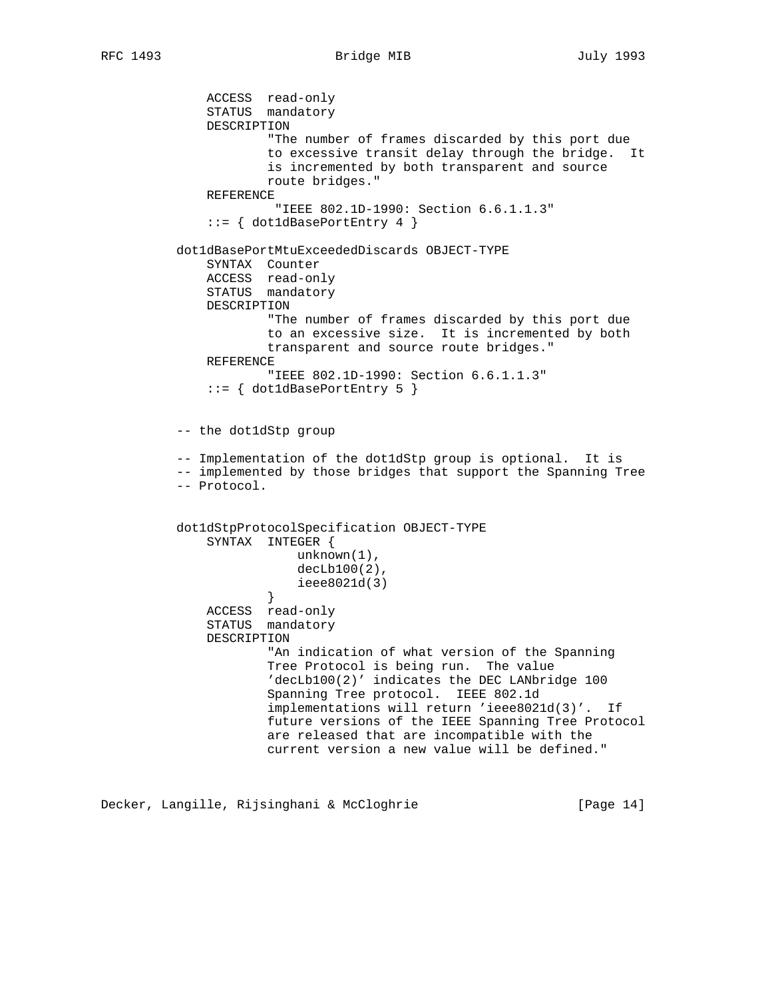```
 ACCESS read-only
              STATUS mandatory
              DESCRIPTION
                      "The number of frames discarded by this port due
                      to excessive transit delay through the bridge. It
                      is incremented by both transparent and source
                      route bridges."
              REFERENCE
                       "IEEE 802.1D-1990: Section 6.6.1.1.3"
              ::= { dot1dBasePortEntry 4 }
          dot1dBasePortMtuExceededDiscards OBJECT-TYPE
              SYNTAX Counter
 ACCESS read-only
STATUS mandatory
              DESCRIPTION
                      "The number of frames discarded by this port due
                      to an excessive size. It is incremented by both
                      transparent and source route bridges."
              REFERENCE
                      "IEEE 802.1D-1990: Section 6.6.1.1.3"
              ::= { dot1dBasePortEntry 5 }
          -- the dot1dStp group
          -- Implementation of the dot1dStp group is optional. It is
          -- implemented by those bridges that support the Spanning Tree
          -- Protocol.
          dot1dStpProtocolSpecification OBJECT-TYPE
              SYNTAX INTEGER {
                         unknown(1),
                         decLb100(2),
                     ieee8021d(3)<br>}
 }
 ACCESS read-only
STATUS mandatory
              DESCRIPTION
                      "An indication of what version of the Spanning
                      Tree Protocol is being run. The value
                      'decLb100(2)' indicates the DEC LANbridge 100
                      Spanning Tree protocol. IEEE 802.1d
                      implementations will return 'ieee8021d(3)'. If
                      future versions of the IEEE Spanning Tree Protocol
                      are released that are incompatible with the
                      current version a new value will be defined."
```
Decker, Langille, Rijsinghani & McCloghrie [Page 14]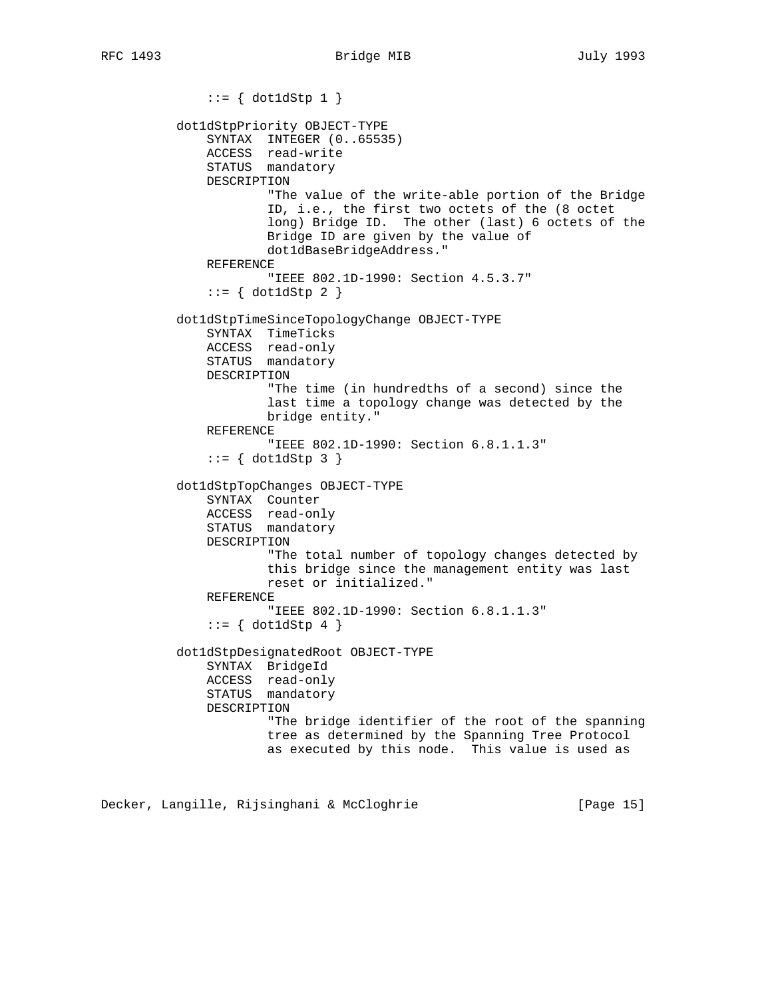$::= \{ dot1dStp 1 \}$  dot1dStpPriority OBJECT-TYPE SYNTAX INTEGER (0..65535) ACCESS read-write STATUS mandatory DESCRIPTION "The value of the write-able portion of the Bridge ID, i.e., the first two octets of the (8 octet long) Bridge ID. The other (last) 6 octets of the Bridge ID are given by the value of dot1dBaseBridgeAddress." REFERENCE "IEEE 802.1D-1990: Section 4.5.3.7"  $::= \{ dot1dStp 2 \}$  dot1dStpTimeSinceTopologyChange OBJECT-TYPE SYNTAX TimeTicks ACCESS read-only STATUS mandatory DESCRIPTION "The time (in hundredths of a second) since the last time a topology change was detected by the bridge entity." REFERENCE "IEEE 802.1D-1990: Section 6.8.1.1.3"  $::= \{ dot1dStp 3 \}$  dot1dStpTopChanges OBJECT-TYPE SYNTAX Counter ACCESS read-only STATUS mandatory DESCRIPTION "The total number of topology changes detected by this bridge since the management entity was last reset or initialized." REFERENCE "IEEE 802.1D-1990: Section 6.8.1.1.3"  $::= \{ dot1dStp 4 \}$  dot1dStpDesignatedRoot OBJECT-TYPE SYNTAX BridgeId ACCESS read-only STATUS mandatory DESCRIPTION "The bridge identifier of the root of the spanning tree as determined by the Spanning Tree Protocol as executed by this node. This value is used as

Decker, Langille, Rijsinghani & McCloghrie [Page 15]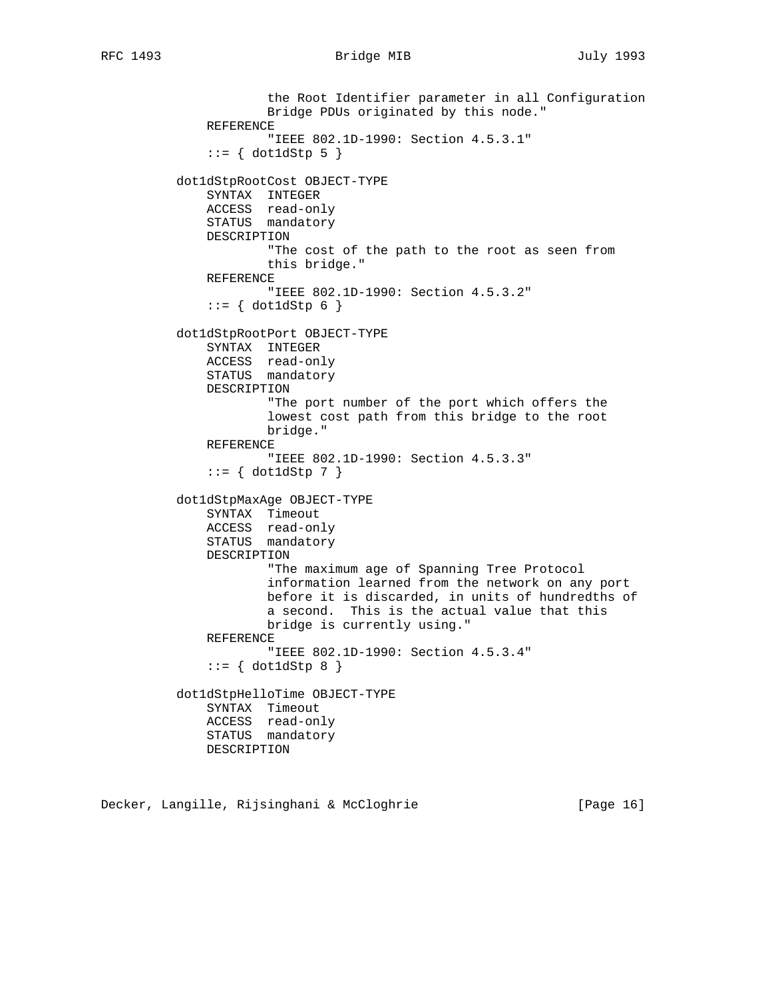the Root Identifier parameter in all Configuration Bridge PDUs originated by this node." REFERENCE "IEEE 802.1D-1990: Section 4.5.3.1"  $::= \{ dot1dStp 5 \}$  dot1dStpRootCost OBJECT-TYPE SYNTAX INTEGER ACCESS read-only STATUS mandatory DESCRIPTION "The cost of the path to the root as seen from this bridge." REFERENCE "IEEE 802.1D-1990: Section 4.5.3.2"  $::= \{ dot1dStp 6 \}$  dot1dStpRootPort OBJECT-TYPE SYNTAX INTEGER ACCESS read-only STATUS mandatory DESCRIPTION "The port number of the port which offers the lowest cost path from this bridge to the root bridge." REFERENCE "IEEE 802.1D-1990: Section 4.5.3.3"  $::=$  { dot1dStp 7 } dot1dStpMaxAge OBJECT-TYPE SYNTAX Timeout ACCESS read-only STATUS mandatory DESCRIPTION "The maximum age of Spanning Tree Protocol information learned from the network on any port before it is discarded, in units of hundredths of a second. This is the actual value that this bridge is currently using." REFERENCE "IEEE 802.1D-1990: Section 4.5.3.4"  $::=$  { dot1dStp 8 } dot1dStpHelloTime OBJECT-TYPE SYNTAX Timeout ACCESS read-only STATUS mandatory DESCRIPTION

Decker, Langille, Rijsinghani & McCloghrie [Page 16]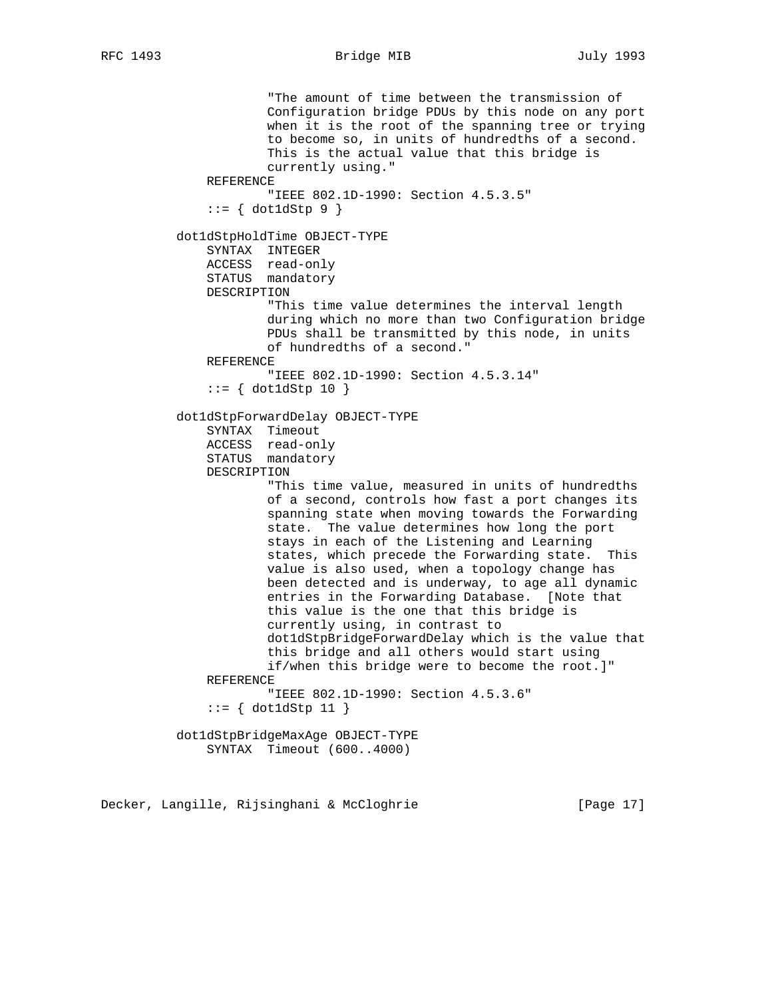```
 "The amount of time between the transmission of
                       Configuration bridge PDUs by this node on any port
                       when it is the root of the spanning tree or trying
                       to become so, in units of hundredths of a second.
                       This is the actual value that this bridge is
                       currently using."
              REFERENCE
                       "IEEE 802.1D-1990: Section 4.5.3.5"
              ::= \{ dot1dStep 9 \} dot1dStpHoldTime OBJECT-TYPE
              SYNTAX INTEGER
              ACCESS read-only
              STATUS mandatory
              DESCRIPTION
                       "This time value determines the interval length
                       during which no more than two Configuration bridge
                       PDUs shall be transmitted by this node, in units
                       of hundredths of a second."
              REFERENCE
                       "IEEE 802.1D-1990: Section 4.5.3.14"
              ::= { dot1dStp 10 }
          dot1dStpForwardDelay OBJECT-TYPE
              SYNTAX Timeout
 ACCESS read-only
STATUS mandatory
              DESCRIPTION
                       "This time value, measured in units of hundredths
                       of a second, controls how fast a port changes its
                       spanning state when moving towards the Forwarding
                       state. The value determines how long the port
                       stays in each of the Listening and Learning
                      states, which precede the Forwarding state. This
                       value is also used, when a topology change has
                      been detected and is underway, to age all dynamic
                       entries in the Forwarding Database. [Note that
                       this value is the one that this bridge is
                       currently using, in contrast to
                       dot1dStpBridgeForwardDelay which is the value that
                       this bridge and all others would start using
                       if/when this bridge were to become the root.]"
              REFERENCE
                      "IEEE 802.1D-1990: Section 4.5.3.6"
               ::= { dot1dStp 11 }
          dot1dStpBridgeMaxAge OBJECT-TYPE
              SYNTAX Timeout (600..4000)
```
Decker, Langille, Rijsinghani & McCloghrie [Page 17]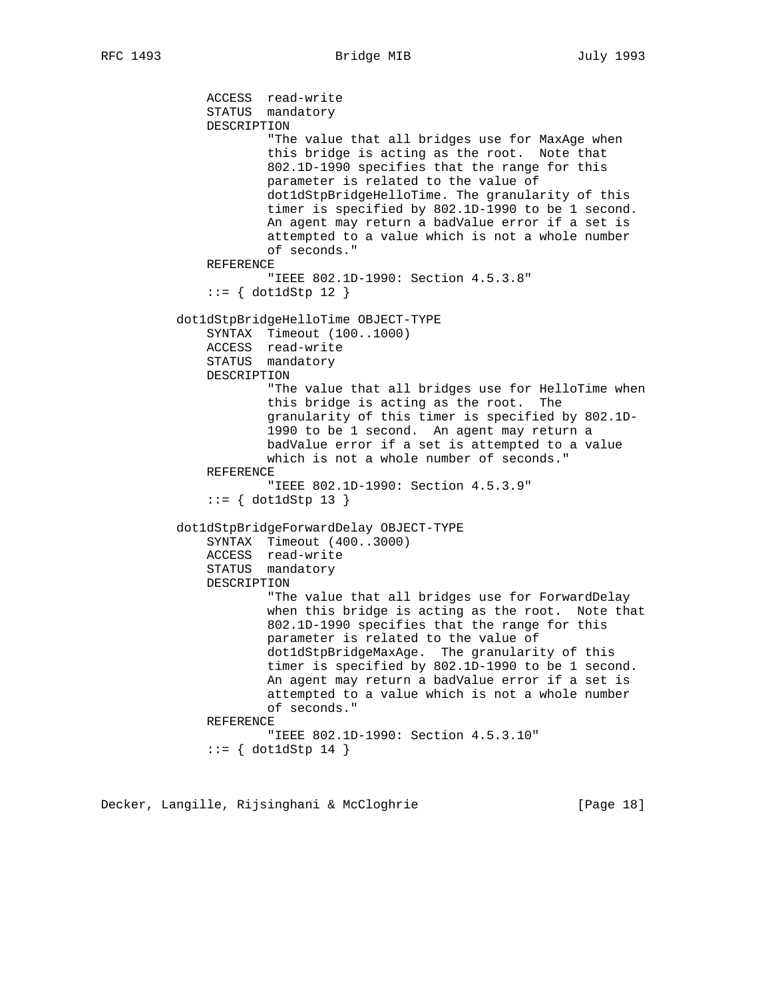ACCESS read-write STATUS mandatory DESCRIPTION "The value that all bridges use for MaxAge when this bridge is acting as the root. Note that 802.1D-1990 specifies that the range for this parameter is related to the value of dot1dStpBridgeHelloTime. The granularity of this timer is specified by 802.1D-1990 to be 1 second. An agent may return a badValue error if a set is attempted to a value which is not a whole number of seconds." REFERENCE "IEEE 802.1D-1990: Section 4.5.3.8" ::= { dot1dStp 12 } dot1dStpBridgeHelloTime OBJECT-TYPE SYNTAX Timeout (100..1000) ACCESS read-write STATUS mandatory DESCRIPTION "The value that all bridges use for HelloTime when this bridge is acting as the root. The granularity of this timer is specified by 802.1D- 1990 to be 1 second. An agent may return a badValue error if a set is attempted to a value which is not a whole number of seconds." REFERENCE "IEEE 802.1D-1990: Section 4.5.3.9"  $::= \{ dot1dStp 13 \}$  dot1dStpBridgeForwardDelay OBJECT-TYPE SYNTAX Timeout (400..3000) ACCESS read-write STATUS mandatory DESCRIPTION "The value that all bridges use for ForwardDelay when this bridge is acting as the root. Note that 802.1D-1990 specifies that the range for this parameter is related to the value of dot1dStpBridgeMaxAge. The granularity of this timer is specified by 802.1D-1990 to be 1 second. An agent may return a badValue error if a set is attempted to a value which is not a whole number of seconds." REFERENCE "IEEE 802.1D-1990: Section 4.5.3.10"  $::=$  { dot1dStp 14 }

Decker, Langille, Rijsinghani & McCloghrie [Page 18]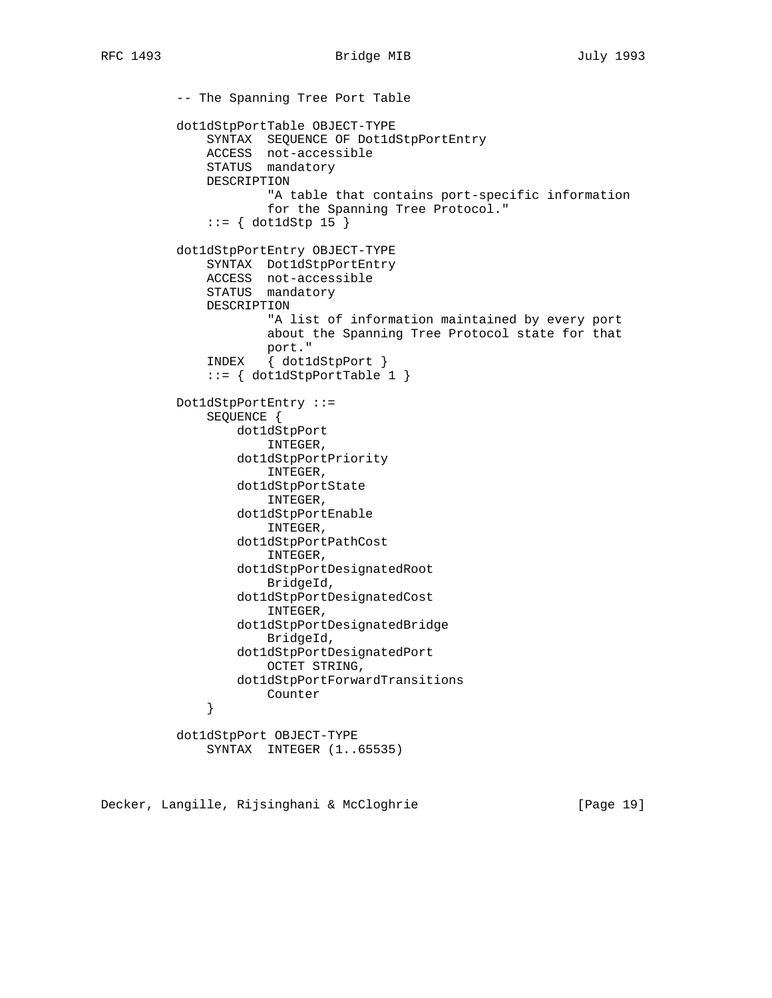-- The Spanning Tree Port Table dot1dStpPortTable OBJECT-TYPE SYNTAX SEQUENCE OF Dot1dStpPortEntry ACCESS not-accessible STATUS mandatory DESCRIPTION "A table that contains port-specific information for the Spanning Tree Protocol." ::= { dot1dStp 15 } dot1dStpPortEntry OBJECT-TYPE SYNTAX Dot1dStpPortEntry ACCESS not-accessible STATUS mandatory DESCRIPTION "A list of information maintained by every port about the Spanning Tree Protocol state for that port." INDEX { dot1dStpPort } ::= { dot1dStpPortTable 1 } Dot1dStpPortEntry ::= SEQUENCE { dot1dStpPort INTEGER, dot1dStpPortPriority INTEGER, dot1dStpPortState INTEGER, dot1dStpPortEnable INTEGER, dot1dStpPortPathCost INTEGER, dot1dStpPortDesignatedRoot BridgeId, dot1dStpPortDesignatedCost INTEGER, dot1dStpPortDesignatedBridge BridgeId, dot1dStpPortDesignatedPort OCTET STRING, dot1dStpPortForwardTransitions Provided a counter } dot1dStpPort OBJECT-TYPE SYNTAX INTEGER (1..65535)

Decker, Langille, Rijsinghani & McCloghrie [Page 19]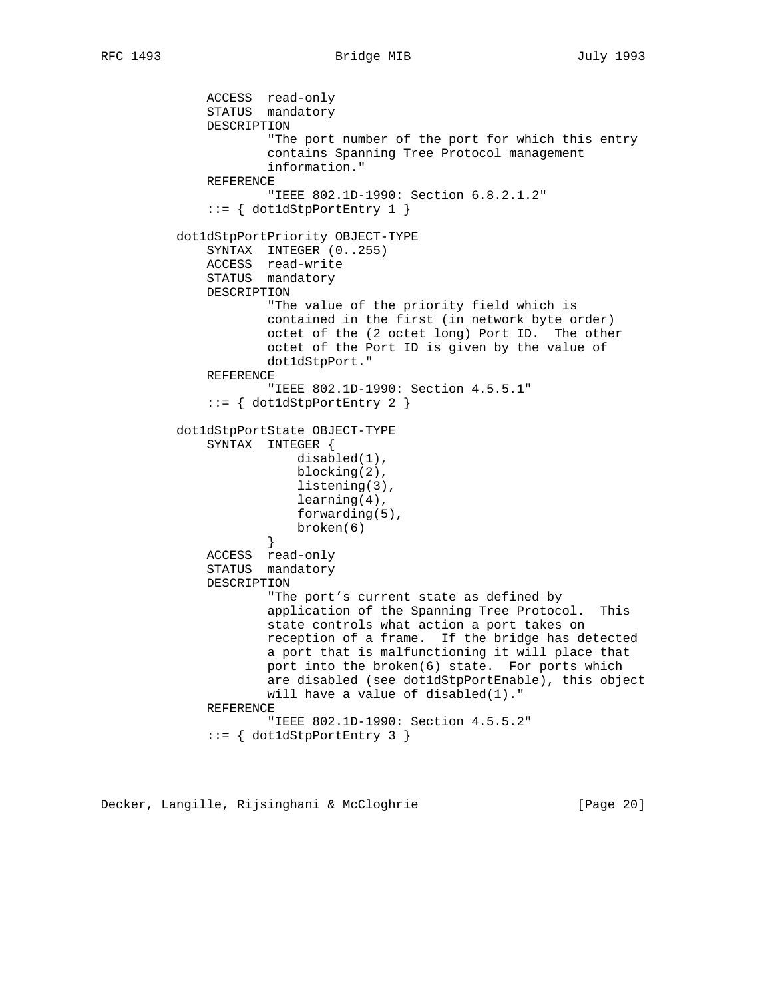```
 ACCESS read-only
               STATUS mandatory
               DESCRIPTION
                       "The port number of the port for which this entry
                       contains Spanning Tree Protocol management
                       information."
               REFERENCE
                       "IEEE 802.1D-1990: Section 6.8.2.1.2"
               ::= { dot1dStpPortEntry 1 }
          dot1dStpPortPriority OBJECT-TYPE
               SYNTAX INTEGER (0..255)
               ACCESS read-write
               STATUS mandatory
               DESCRIPTION
                       "The value of the priority field which is
                       contained in the first (in network byte order)
                       octet of the (2 octet long) Port ID. The other
                       octet of the Port ID is given by the value of
                       dot1dStpPort."
               REFERENCE
                       "IEEE 802.1D-1990: Section 4.5.5.1"
              ::= { dot1dStpPortEntry 2 }
          dot1dStpPortState OBJECT-TYPE
               SYNTAX INTEGER {
                           disabled(1),
                           blocking(2),
                           listening(3),
                           learning(4),
                           forwarding(5),
                          broken(6)
 }
               ACCESS read-only
               STATUS mandatory
               DESCRIPTION
                       "The port's current state as defined by
                       application of the Spanning Tree Protocol. This
                       state controls what action a port takes on
                       reception of a frame. If the bridge has detected
                       a port that is malfunctioning it will place that
                       port into the broken(6) state. For ports which
                       are disabled (see dot1dStpPortEnable), this object
                       will have a value of disabled(1)."
               REFERENCE
                       "IEEE 802.1D-1990: Section 4.5.5.2"
              ::= { dot1dStpPortEntry 3 }
```
Decker, Langille, Rijsinghani & McCloghrie [Page 20]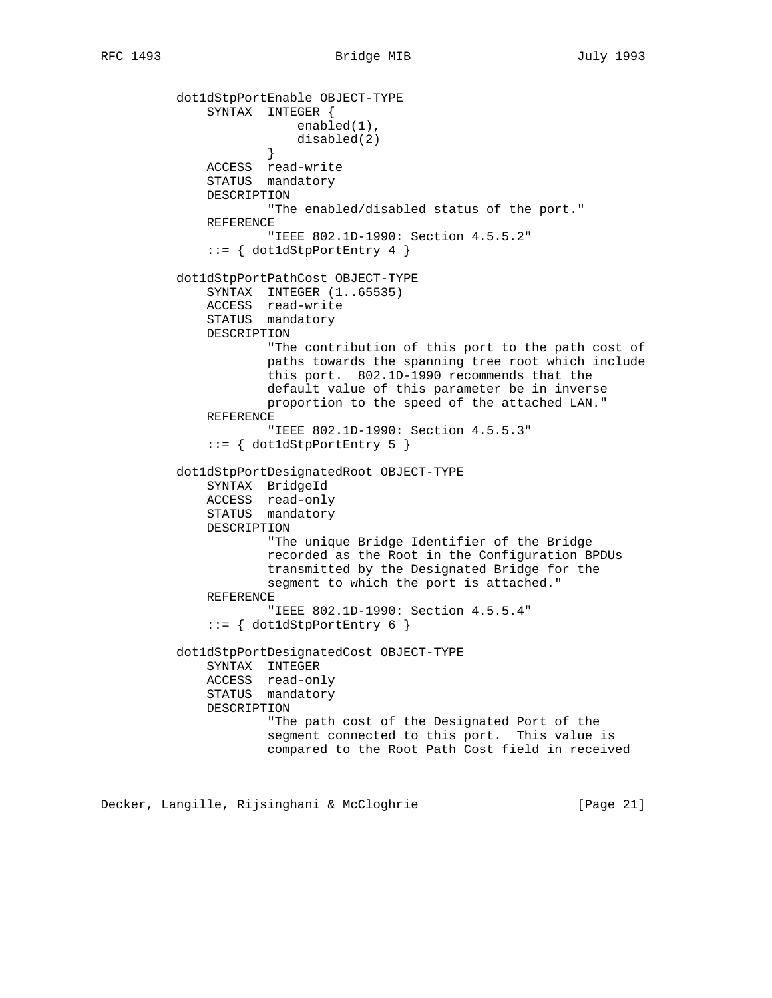dot1dStpPortEnable OBJECT-TYPE SYNTAX INTEGER { enabled(1), disabled(2) } ACCESS read-write STATUS mandatory DESCRIPTION "The enabled/disabled status of the port." REFERENCE "IEEE 802.1D-1990: Section 4.5.5.2" ::= { dot1dStpPortEntry 4 } dot1dStpPortPathCost OBJECT-TYPE SYNTAX INTEGER (1..65535) ACCESS read-write STATUS mandatory DESCRIPTION "The contribution of this port to the path cost of paths towards the spanning tree root which include this port. 802.1D-1990 recommends that the default value of this parameter be in inverse proportion to the speed of the attached LAN." REFERENCE "IEEE 802.1D-1990: Section 4.5.5.3"  $::=$  { dot1dStpPortEntry 5 } dot1dStpPortDesignatedRoot OBJECT-TYPE SYNTAX BridgeId ACCESS read-only STATUS mandatory DESCRIPTION "The unique Bridge Identifier of the Bridge recorded as the Root in the Configuration BPDUs transmitted by the Designated Bridge for the segment to which the port is attached." REFERENCE "IEEE 802.1D-1990: Section 4.5.5.4" ::= { dot1dStpPortEntry 6 } dot1dStpPortDesignatedCost OBJECT-TYPE SYNTAX INTEGER ACCESS read-only STATUS mandatory DESCRIPTION "The path cost of the Designated Port of the segment connected to this port. This value is compared to the Root Path Cost field in received

Decker, Langille, Rijsinghani & McCloghrie [Page 21]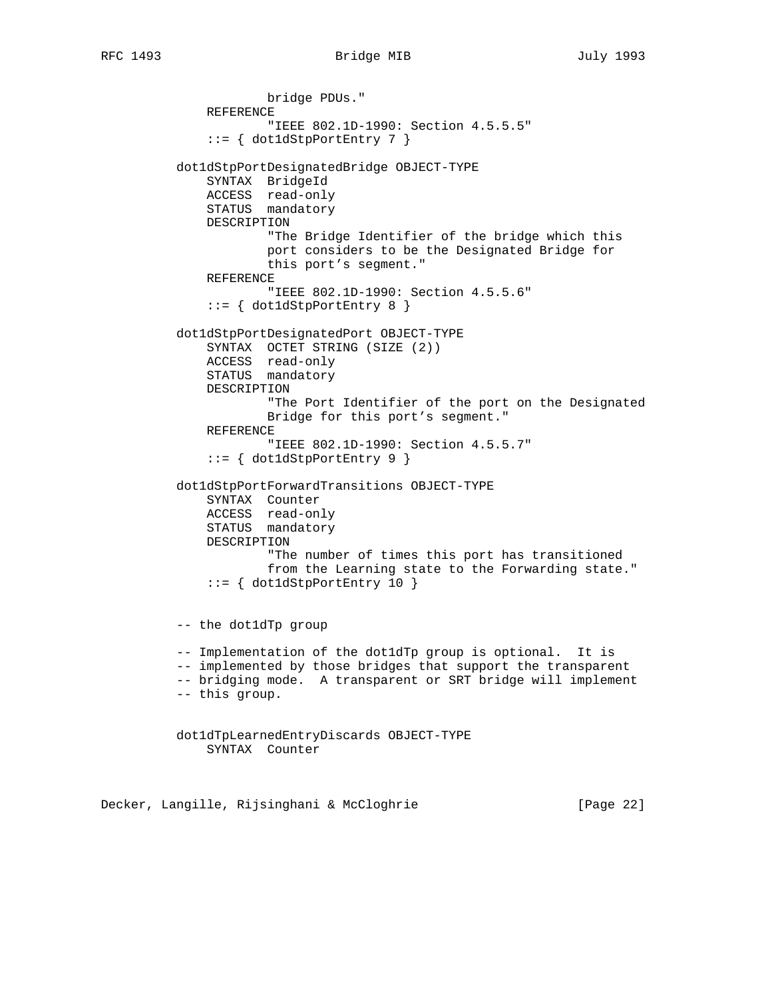RFC 1493 Bridge MIB July 1993

```
 bridge PDUs."
     REFERENCE
             "IEEE 802.1D-1990: Section 4.5.5.5"
     ::= { dot1dStpPortEntry 7 }
 dot1dStpPortDesignatedBridge OBJECT-TYPE
     SYNTAX BridgeId
     ACCESS read-only
     STATUS mandatory
     DESCRIPTION
             "The Bridge Identifier of the bridge which this
             port considers to be the Designated Bridge for
             this port's segment."
     REFERENCE
             "IEEE 802.1D-1990: Section 4.5.5.6"
     ::= { dot1dStpPortEntry 8 }
 dot1dStpPortDesignatedPort OBJECT-TYPE
     SYNTAX OCTET STRING (SIZE (2))
     ACCESS read-only
     STATUS mandatory
     DESCRIPTION
             "The Port Identifier of the port on the Designated
             Bridge for this port's segment."
     REFERENCE
             "IEEE 802.1D-1990: Section 4.5.5.7"
     ::= { dot1dStpPortEntry 9 }
 dot1dStpPortForwardTransitions OBJECT-TYPE
     SYNTAX Counter
     ACCESS read-only
     STATUS mandatory
     DESCRIPTION
             "The number of times this port has transitioned
             from the Learning state to the Forwarding state."
     ::= { dot1dStpPortEntry 10 }
 -- the dot1dTp group
 -- Implementation of the dot1dTp group is optional. It is
 -- implemented by those bridges that support the transparent
 -- bridging mode. A transparent or SRT bridge will implement
 -- this group.
 dot1dTpLearnedEntryDiscards OBJECT-TYPE
     SYNTAX Counter
```
Decker, Langille, Rijsinghani & McCloghrie [Page 22]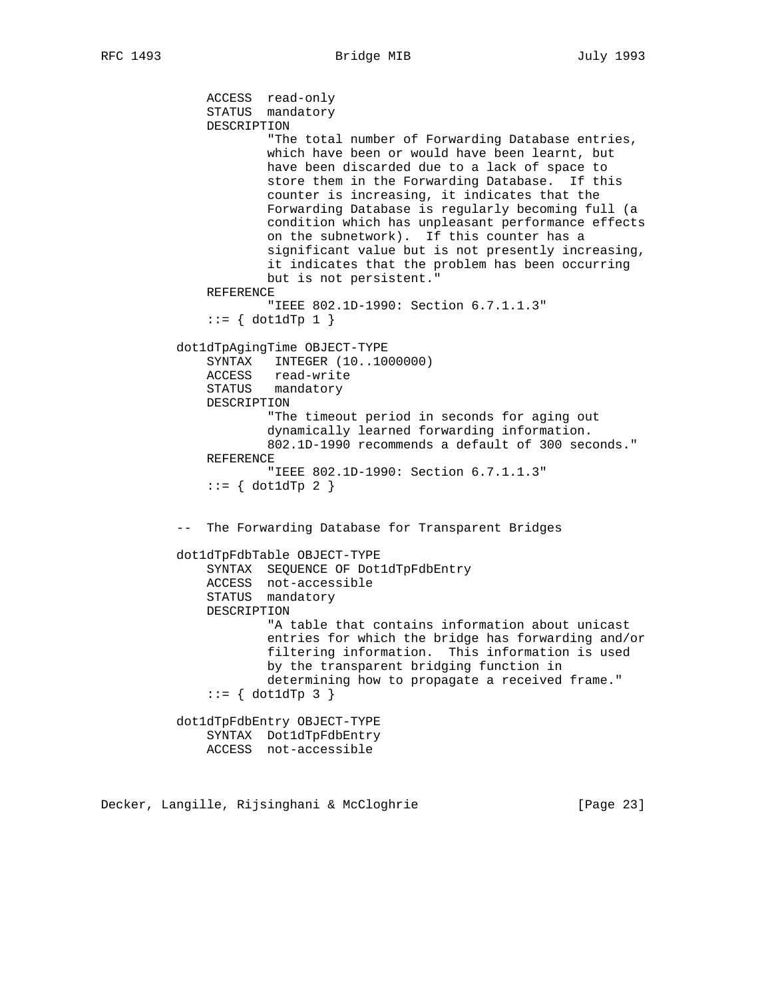```
 ACCESS read-only
     STATUS mandatory
     DESCRIPTION
             "The total number of Forwarding Database entries,
             which have been or would have been learnt, but
             have been discarded due to a lack of space to
             store them in the Forwarding Database. If this
             counter is increasing, it indicates that the
             Forwarding Database is regularly becoming full (a
             condition which has unpleasant performance effects
             on the subnetwork). If this counter has a
             significant value but is not presently increasing,
             it indicates that the problem has been occurring
             but is not persistent."
     REFERENCE
             "IEEE 802.1D-1990: Section 6.7.1.1.3"
    ::= \{ dot1dTp 1 \} dot1dTpAgingTime OBJECT-TYPE
     SYNTAX INTEGER (10..1000000)
     ACCESS read-write
     STATUS mandatory
     DESCRIPTION
             "The timeout period in seconds for aging out
             dynamically learned forwarding information.
             802.1D-1990 recommends a default of 300 seconds."
     REFERENCE
             "IEEE 802.1D-1990: Section 6.7.1.1.3"
    ::= \{ dot1dTp 2 \} -- The Forwarding Database for Transparent Bridges
 dot1dTpFdbTable OBJECT-TYPE
     SYNTAX SEQUENCE OF Dot1dTpFdbEntry
     ACCESS not-accessible
     STATUS mandatory
     DESCRIPTION
             "A table that contains information about unicast
             entries for which the bridge has forwarding and/or
             filtering information. This information is used
             by the transparent bridging function in
             determining how to propagate a received frame."
    ::= { dot1dTp 3 }
 dot1dTpFdbEntry OBJECT-TYPE
     SYNTAX Dot1dTpFdbEntry
    ACCESS not-accessible
```
Decker, Langille, Rijsinghani & McCloghrie [Page 23]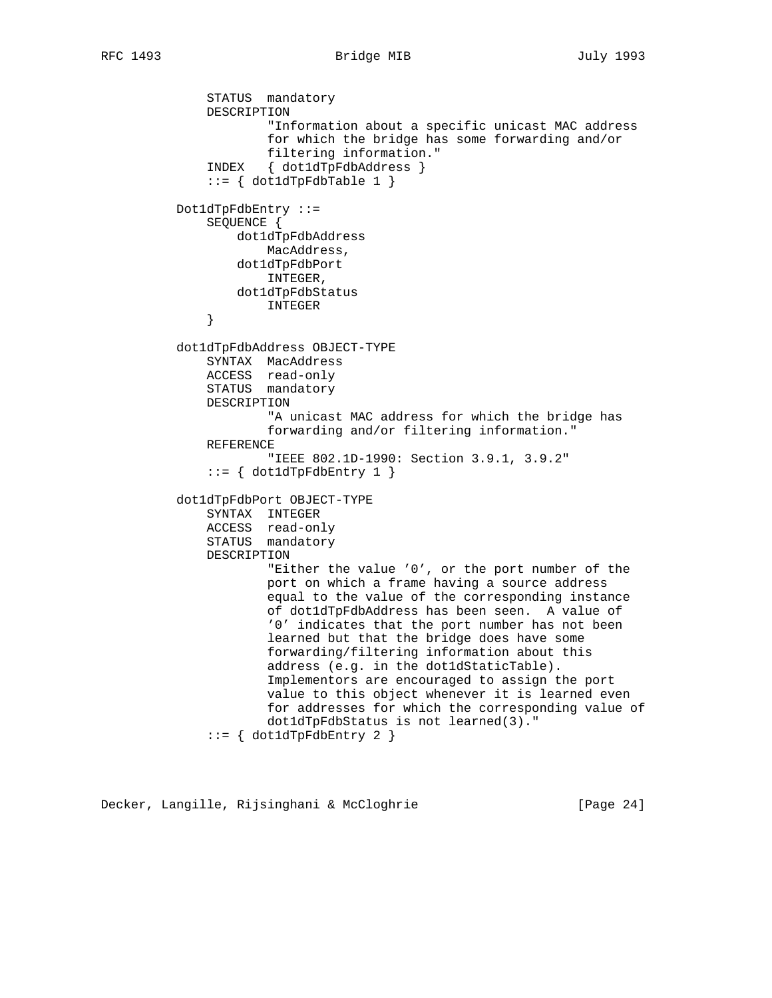```
 STATUS mandatory
               DESCRIPTION
                       "Information about a specific unicast MAC address
                       for which the bridge has some forwarding and/or
                       filtering information."
               INDEX { dot1dTpFdbAddress }
               ::= { dot1dTpFdbTable 1 }
          Dot1dTpFdbEntry ::=
               SEQUENCE {
                   dot1dTpFdbAddress
                       MacAddress,
                   dot1dTpFdbPort
                       INTEGER,
                  dot1dTpFdbStatus
               INTEGER
 }
          dot1dTpFdbAddress OBJECT-TYPE
               SYNTAX MacAddress
               ACCESS read-only
               STATUS mandatory
               DESCRIPTION
                       "A unicast MAC address for which the bridge has
                       forwarding and/or filtering information."
               REFERENCE
                       "IEEE 802.1D-1990: Section 3.9.1, 3.9.2"
              ::= { dot1dTpFdbEntry 1 }
          dot1dTpFdbPort OBJECT-TYPE
               SYNTAX INTEGER
               ACCESS read-only
               STATUS mandatory
               DESCRIPTION
                       "Either the value '0', or the port number of the
                       port on which a frame having a source address
                       equal to the value of the corresponding instance
                       of dot1dTpFdbAddress has been seen. A value of
                       '0' indicates that the port number has not been
                       learned but that the bridge does have some
                       forwarding/filtering information about this
                       address (e.g. in the dot1dStaticTable).
                       Implementors are encouraged to assign the port
                       value to this object whenever it is learned even
                       for addresses for which the corresponding value of
                       dot1dTpFdbStatus is not learned(3)."
              ::= { dot1dTpFdbEntry 2 }
```
Decker, Langille, Rijsinghani & McCloghrie [Page 24]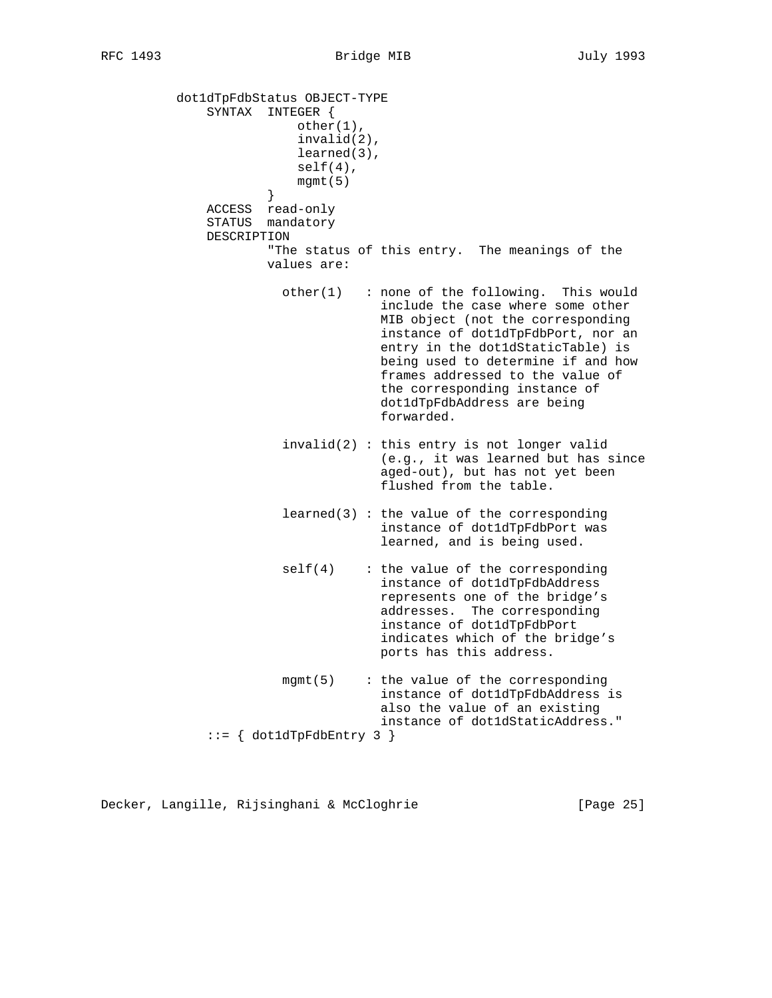dot1dTpFdbStatus OBJECT-TYPE SYNTAX INTEGER { other(1), invalid(2), learned(3), self(4), mgmt(5) } ACCESS read-only STATUS mandatory DESCRIPTION "The status of this entry. The meanings of the values are: other(1) : none of the following. This would include the case where some other MIB object (not the corresponding instance of dot1dTpFdbPort, nor an entry in the dot1dStaticTable) is being used to determine if and how frames addressed to the value of the corresponding instance of dot1dTpFdbAddress are being forwarded. invalid(2) : this entry is not longer valid (e.g., it was learned but has since aged-out), but has not yet been flushed from the table. learned(3) : the value of the corresponding instance of dot1dTpFdbPort was learned, and is being used. self(4) : the value of the corresponding instance of dot1dTpFdbAddress represents one of the bridge's addresses. The corresponding instance of dot1dTpFdbPort indicates which of the bridge's ports has this address. mgmt(5) : the value of the corresponding instance of dot1dTpFdbAddress is also the value of an existing instance of dot1dStaticAddress."  $::=$  { dot1dTpFdbEntry 3 }

Decker, Langille, Rijsinghani & McCloghrie [Page 25]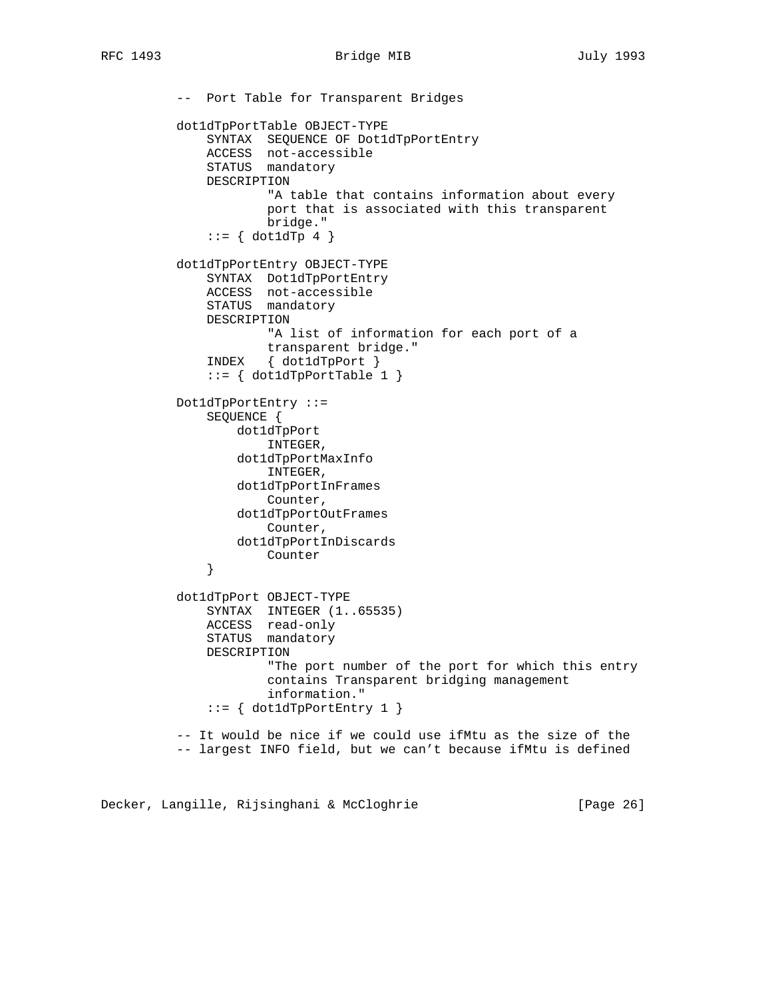-- Port Table for Transparent Bridges dot1dTpPortTable OBJECT-TYPE SYNTAX SEQUENCE OF Dot1dTpPortEntry ACCESS not-accessible STATUS mandatory DESCRIPTION "A table that contains information about every port that is associated with this transparent bridge."  $::= \{ dot1dTp 4 \}$  dot1dTpPortEntry OBJECT-TYPE SYNTAX Dot1dTpPortEntry ACCESS not-accessible STATUS mandatory DESCRIPTION "A list of information for each port of a transparent bridge." INDEX { dot1dTpPort }  $::= \{ dot1dTpPortTable 1 \}$  Dot1dTpPortEntry ::= SEQUENCE { dot1dTpPort INTEGER, dot1dTpPortMaxInfo INTEGER, dot1dTpPortInFrames Counter, dot1dTpPortOutFrames Counter, dot1dTpPortInDiscards Counter } dot1dTpPort OBJECT-TYPE SYNTAX INTEGER (1..65535) ACCESS read-only STATUS mandatory DESCRIPTION "The port number of the port for which this entry contains Transparent bridging management information."  $::=$  { dot1dTpPortEntry 1 } -- It would be nice if we could use ifMtu as the size of the -- largest INFO field, but we can't because ifMtu is defined

Decker, Langille, Rijsinghani & McCloghrie [Page 26]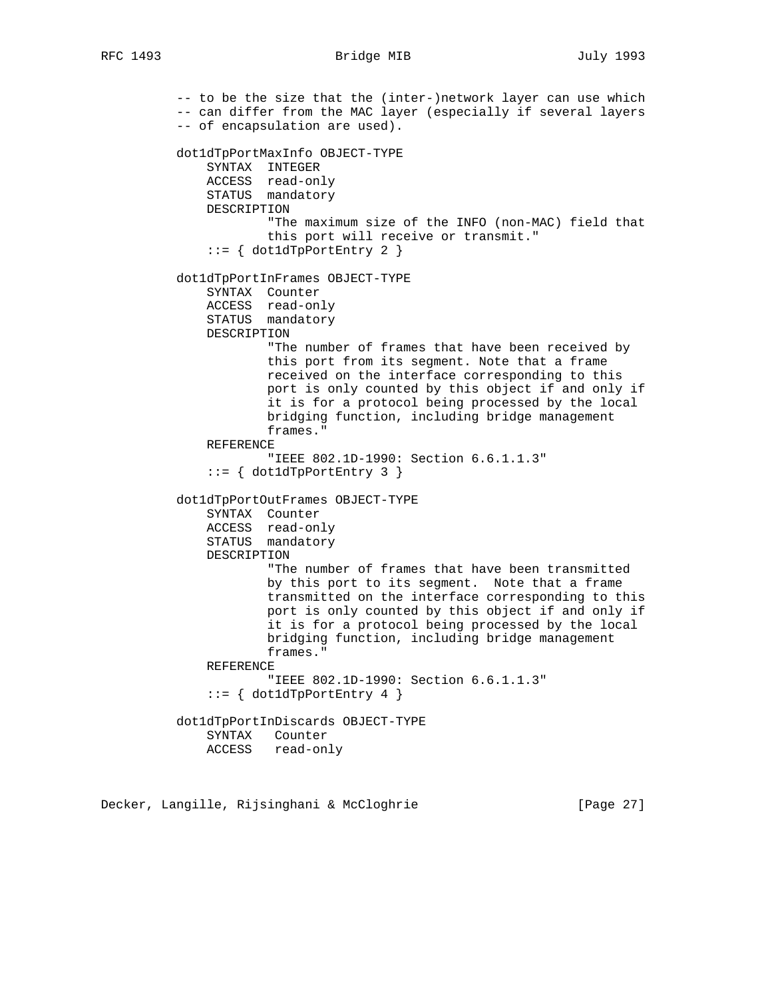### RFC 1493 Bridge MIB July 1993

 -- to be the size that the (inter-)network layer can use which -- can differ from the MAC layer (especially if several layers -- of encapsulation are used). dot1dTpPortMaxInfo OBJECT-TYPE SYNTAX INTEGER ACCESS read-only STATUS mandatory DESCRIPTION "The maximum size of the INFO (non-MAC) field that this port will receive or transmit."  $::=$  { dot1dTpPortEntry 2 } dot1dTpPortInFrames OBJECT-TYPE SYNTAX Counter ACCESS read-only STATUS mandatory DESCRIPTION "The number of frames that have been received by this port from its segment. Note that a frame received on the interface corresponding to this port is only counted by this object if and only if it is for a protocol being processed by the local bridging function, including bridge management frames." REFERENCE "IEEE 802.1D-1990: Section 6.6.1.1.3"  $::=$  { dot1dTpPortEntry 3 } dot1dTpPortOutFrames OBJECT-TYPE SYNTAX Counter ACCESS read-only STATUS mandatory DESCRIPTION "The number of frames that have been transmitted by this port to its segment. Note that a frame transmitted on the interface corresponding to this port is only counted by this object if and only if it is for a protocol being processed by the local bridging function, including bridge management frames." REFERENCE "IEEE 802.1D-1990: Section 6.6.1.1.3"  $::=$  { dot1dTpPortEntry 4 } dot1dTpPortInDiscards OBJECT-TYPE SYNTAX Counter ACCESS read-only

Decker, Langille, Rijsinghani & McCloghrie [Page 27]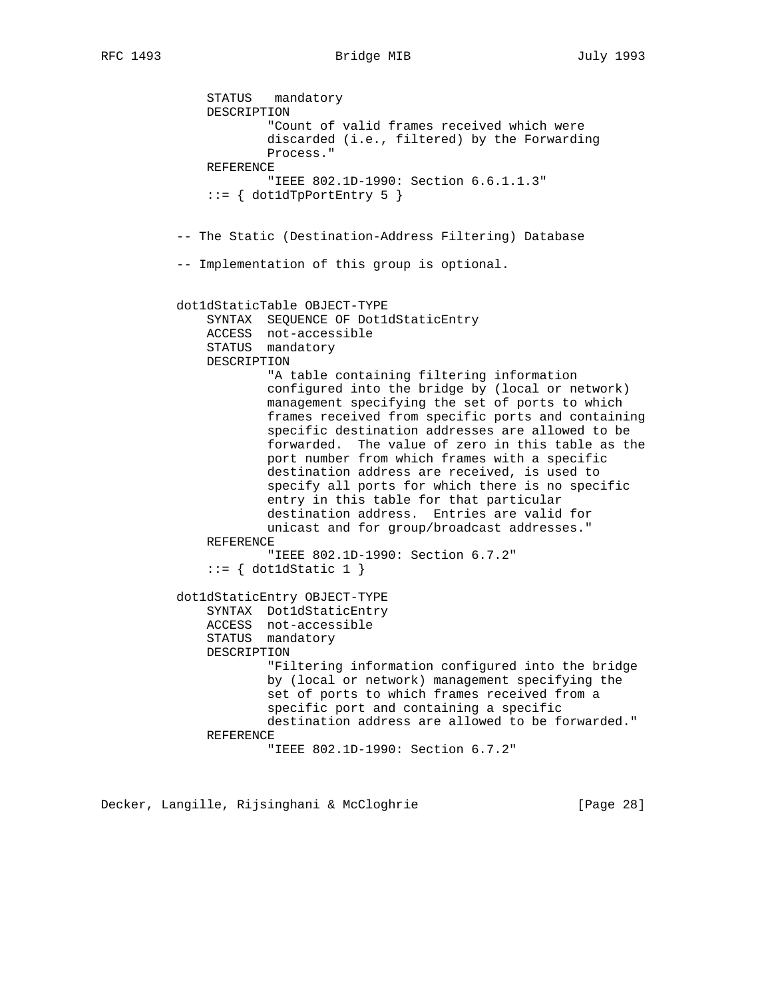RFC 1493 Bridge MIB July 1993

 STATUS mandatory DESCRIPTION "Count of valid frames received which were discarded (i.e., filtered) by the Forwarding Process." REFERENCE "IEEE 802.1D-1990: Section 6.6.1.1.3"  $::=$  { dot1dTpPortEntry 5 } -- The Static (Destination-Address Filtering) Database -- Implementation of this group is optional. dot1dStaticTable OBJECT-TYPE SYNTAX SEQUENCE OF Dot1dStaticEntry ACCESS not-accessible STATUS mandatory DESCRIPTION "A table containing filtering information configured into the bridge by (local or network) management specifying the set of ports to which frames received from specific ports and containing specific destination addresses are allowed to be forwarded. The value of zero in this table as the port number from which frames with a specific destination address are received, is used to specify all ports for which there is no specific entry in this table for that particular destination address. Entries are valid for unicast and for group/broadcast addresses." REFERENCE "IEEE 802.1D-1990: Section 6.7.2"  $::= \{ dot1dStatic 1 \}$  dot1dStaticEntry OBJECT-TYPE SYNTAX Dot1dStaticEntry ACCESS not-accessible STATUS mandatory DESCRIPTION "Filtering information configured into the bridge by (local or network) management specifying the set of ports to which frames received from a specific port and containing a specific destination address are allowed to be forwarded." REFERENCE "IEEE 802.1D-1990: Section 6.7.2"

Decker, Langille, Rijsinghani & McCloghrie [Page 28]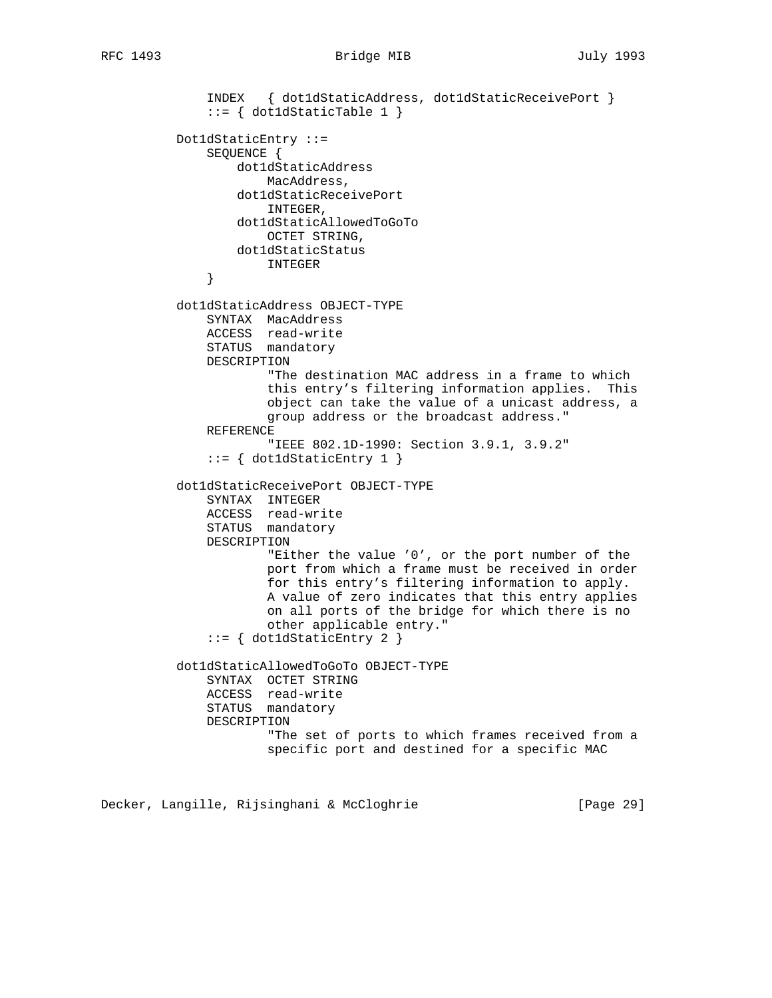```
 INDEX { dot1dStaticAddress, dot1dStaticReceivePort }
              ::= \{ dot1dStaticTable 1 \} Dot1dStaticEntry ::=
               SEQUENCE {
                  dot1dStaticAddress
                       MacAddress,
                   dot1dStaticReceivePort
                       INTEGER,
                  dot1dStaticAllowedToGoTo
                      OCTET STRING,
                  dot1dStaticStatus
               INTEGER
 }
          dot1dStaticAddress OBJECT-TYPE
               SYNTAX MacAddress
               ACCESS read-write
               STATUS mandatory
               DESCRIPTION
                       "The destination MAC address in a frame to which
                       this entry's filtering information applies. This
                       object can take the value of a unicast address, a
                      group address or the broadcast address."
               REFERENCE
                       "IEEE 802.1D-1990: Section 3.9.1, 3.9.2"
               ::= { dot1dStaticEntry 1 }
          dot1dStaticReceivePort OBJECT-TYPE
               SYNTAX INTEGER
               ACCESS read-write
               STATUS mandatory
               DESCRIPTION
                       "Either the value '0', or the port number of the
                       port from which a frame must be received in order
                       for this entry's filtering information to apply.
                       A value of zero indicates that this entry applies
                       on all ports of the bridge for which there is no
                       other applicable entry."
               ::= { dot1dStaticEntry 2 }
          dot1dStaticAllowedToGoTo OBJECT-TYPE
               SYNTAX OCTET STRING
               ACCESS read-write
               STATUS mandatory
               DESCRIPTION
                       "The set of ports to which frames received from a
                       specific port and destined for a specific MAC
```
Decker, Langille, Rijsinghani & McCloghrie [Page 29]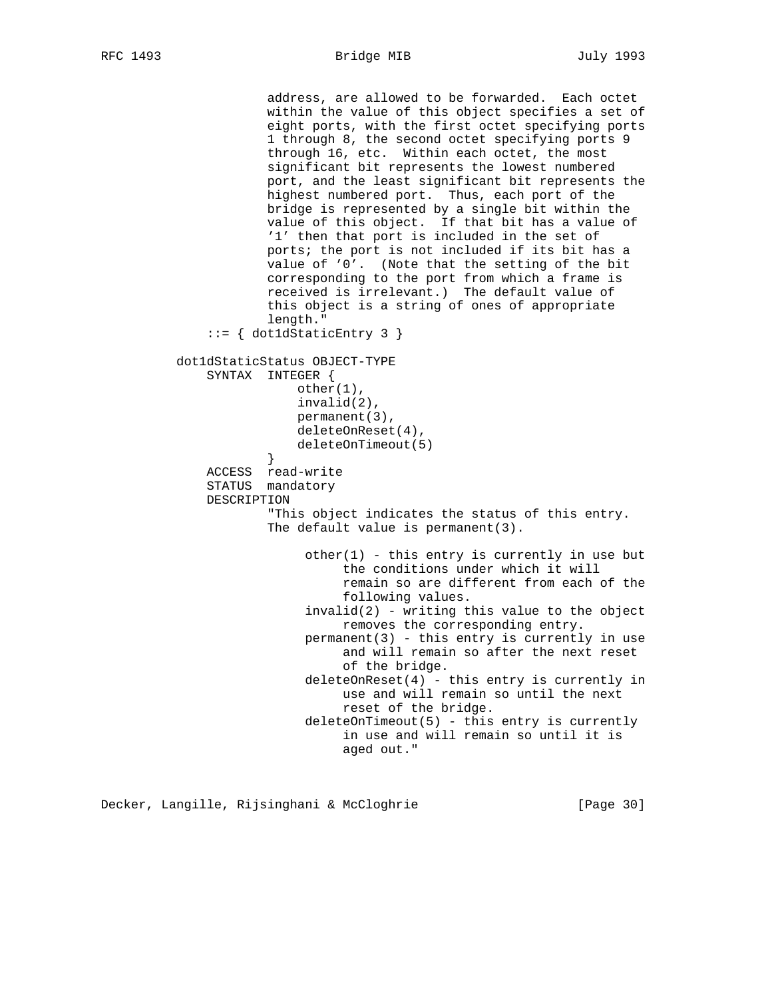address, are allowed to be forwarded. Each octet within the value of this object specifies a set of eight ports, with the first octet specifying ports 1 through 8, the second octet specifying ports 9 through 16, etc. Within each octet, the most significant bit represents the lowest numbered port, and the least significant bit represents the highest numbered port. Thus, each port of the bridge is represented by a single bit within the value of this object. If that bit has a value of '1' then that port is included in the set of ports; the port is not included if its bit has a value of '0'. (Note that the setting of the bit corresponding to the port from which a frame is received is irrelevant.) The default value of this object is a string of ones of appropriate length." ::= { dot1dStaticEntry 3 } dot1dStaticStatus OBJECT-TYPE SYNTAX INTEGER { other(1), invalid(2), permanent(3), deleteOnReset(4), deleteOnTimeout(5)<br>} } ACCESS read-write STATUS mandatory DESCRIPTION "This object indicates the status of this entry. The default value is permanent(3).  $other(1)$  - this entry is currently in use but the conditions under which it will remain so are different from each of the following values.  $invald(2)$  - writing this value to the object removes the corresponding entry. permanent(3) - this entry is currently in use and will remain so after the next reset of the bridge. deleteOnReset(4) - this entry is currently in use and will remain so until the next reset of the bridge. deleteOnTimeout(5) - this entry is currently in use and will remain so until it is aged out."

Decker, Langille, Rijsinghani & McCloghrie [Page 30]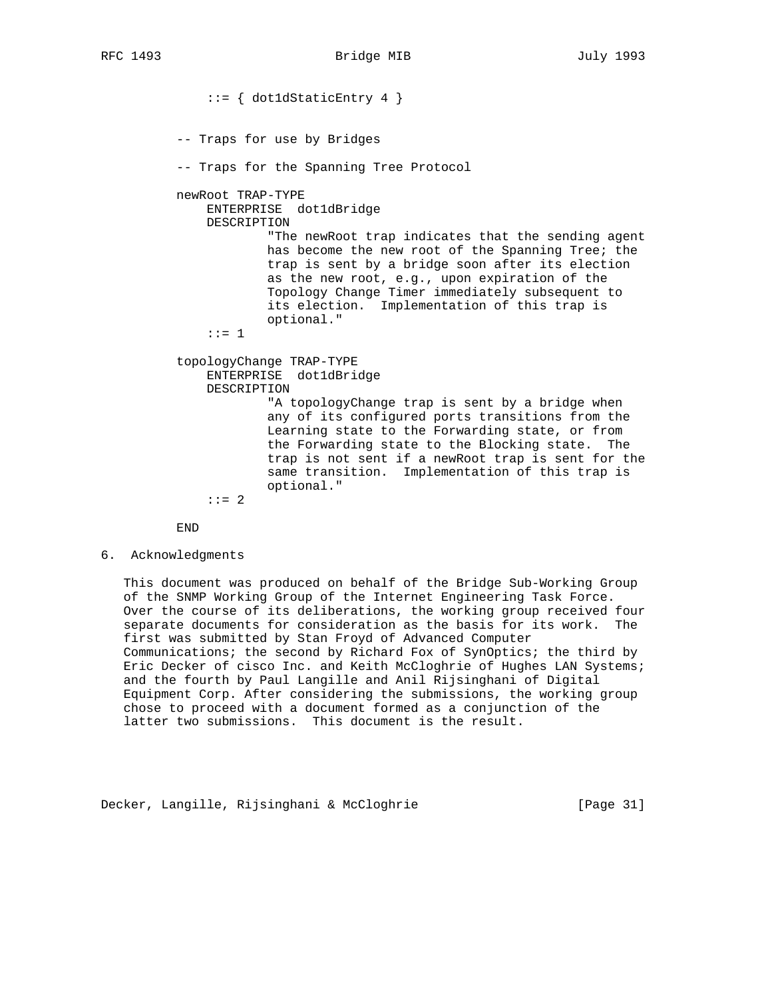::= { dot1dStaticEntry 4 } -- Traps for use by Bridges -- Traps for the Spanning Tree Protocol newRoot TRAP-TYPE ENTERPRISE dot1dBridge DESCRIPTION "The newRoot trap indicates that the sending agent has become the new root of the Spanning Tree; the trap is sent by a bridge soon after its election as the new root, e.g., upon expiration of the Topology Change Timer immediately subsequent to its election. Implementation of this trap is optional." ::= 1 topologyChange TRAP-TYPE ENTERPRISE dot1dBridge DESCRIPTION "A topologyChange trap is sent by a bridge when any of its configured ports transitions from the Learning state to the Forwarding state, or from the Forwarding state to the Blocking state. The trap is not sent if a newRoot trap is sent for the same transition. Implementation of this trap is optional."  $: := 2$ 

END

6. Acknowledgments

 This document was produced on behalf of the Bridge Sub-Working Group of the SNMP Working Group of the Internet Engineering Task Force. Over the course of its deliberations, the working group received four separate documents for consideration as the basis for its work. The first was submitted by Stan Froyd of Advanced Computer Communications; the second by Richard Fox of SynOptics; the third by Eric Decker of cisco Inc. and Keith McCloghrie of Hughes LAN Systems; and the fourth by Paul Langille and Anil Rijsinghani of Digital Equipment Corp. After considering the submissions, the working group chose to proceed with a document formed as a conjunction of the latter two submissions. This document is the result.

Decker, Langille, Rijsinghani & McCloghrie [Page 31]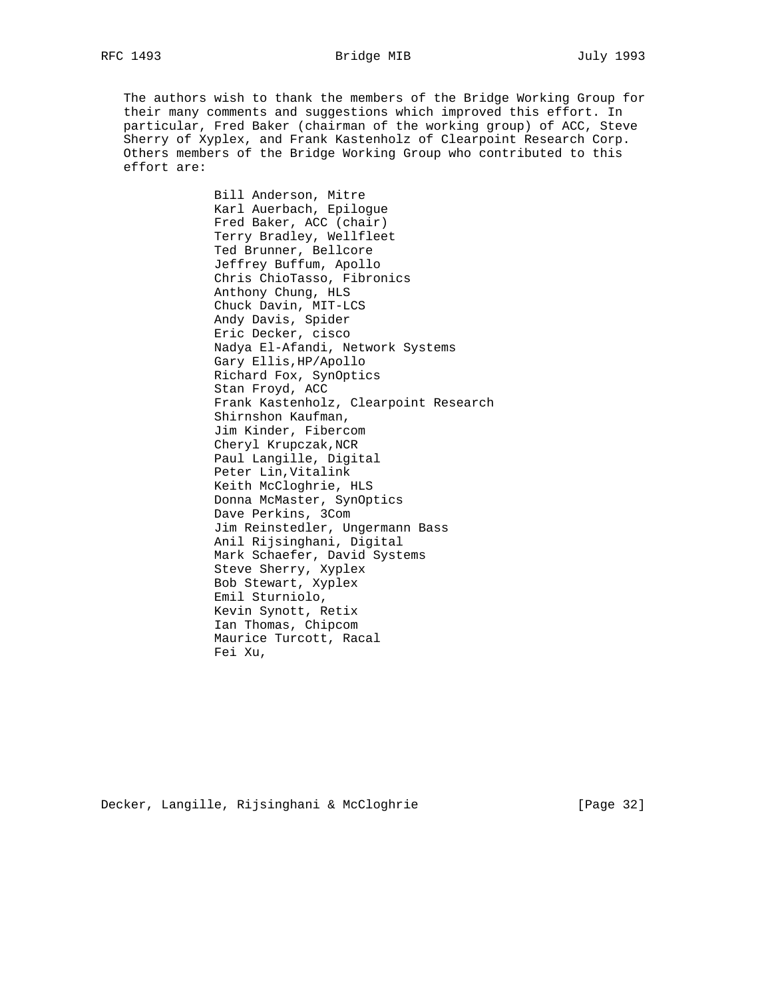The authors wish to thank the members of the Bridge Working Group for their many comments and suggestions which improved this effort. In particular, Fred Baker (chairman of the working group) of ACC, Steve Sherry of Xyplex, and Frank Kastenholz of Clearpoint Research Corp. Others members of the Bridge Working Group who contributed to this effort are:

> Bill Anderson, Mitre Karl Auerbach, Epilogue Fred Baker, ACC (chair) Terry Bradley, Wellfleet Ted Brunner, Bellcore Jeffrey Buffum, Apollo Chris ChioTasso, Fibronics Anthony Chung, HLS Chuck Davin, MIT-LCS Andy Davis, Spider Eric Decker, cisco Nadya El-Afandi, Network Systems Gary Ellis,HP/Apollo Richard Fox, SynOptics Stan Froyd, ACC Frank Kastenholz, Clearpoint Research Shirnshon Kaufman, Jim Kinder, Fibercom Cheryl Krupczak,NCR Paul Langille, Digital Peter Lin,Vitalink Keith McCloghrie, HLS Donna McMaster, SynOptics Dave Perkins, 3Com Jim Reinstedler, Ungermann Bass Anil Rijsinghani, Digital Mark Schaefer, David Systems Steve Sherry, Xyplex Bob Stewart, Xyplex Emil Sturniolo, Kevin Synott, Retix Ian Thomas, Chipcom Maurice Turcott, Racal Fei Xu,

Decker, Langille, Rijsinghani & McCloghrie [Page 32]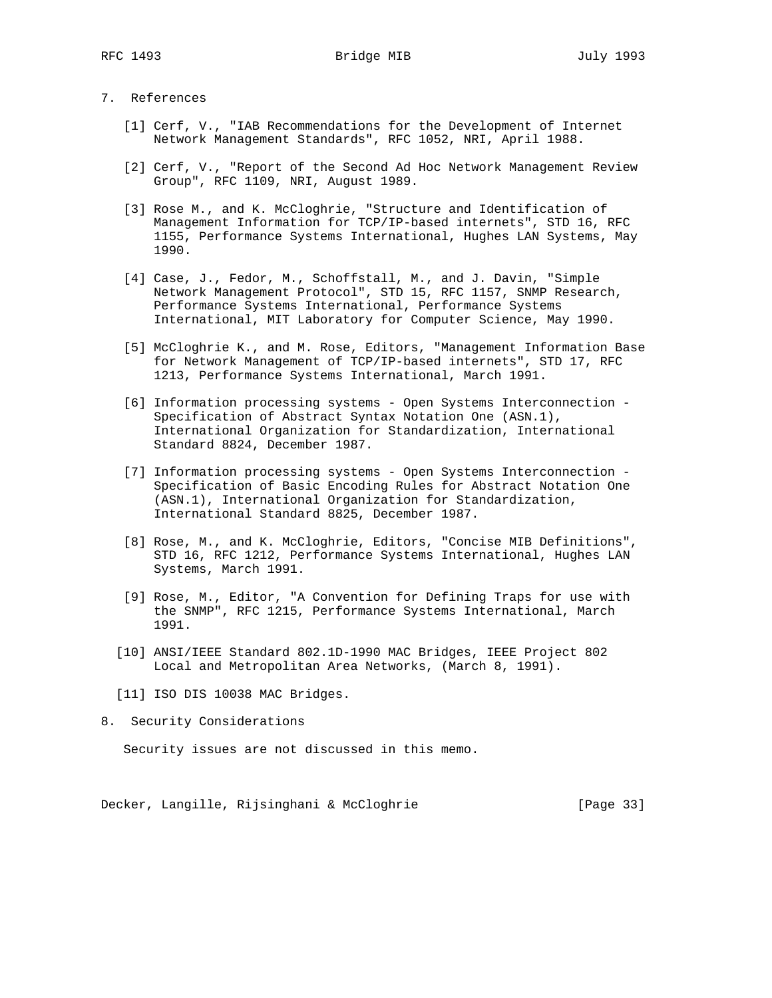## 7. References

- [1] Cerf, V., "IAB Recommendations for the Development of Internet Network Management Standards", RFC 1052, NRI, April 1988.
- [2] Cerf, V., "Report of the Second Ad Hoc Network Management Review Group", RFC 1109, NRI, August 1989.
- [3] Rose M., and K. McCloghrie, "Structure and Identification of Management Information for TCP/IP-based internets", STD 16, RFC 1155, Performance Systems International, Hughes LAN Systems, May 1990.
- [4] Case, J., Fedor, M., Schoffstall, M., and J. Davin, "Simple Network Management Protocol", STD 15, RFC 1157, SNMP Research, Performance Systems International, Performance Systems International, MIT Laboratory for Computer Science, May 1990.
- [5] McCloghrie K., and M. Rose, Editors, "Management Information Base for Network Management of TCP/IP-based internets", STD 17, RFC 1213, Performance Systems International, March 1991.
- [6] Information processing systems Open Systems Interconnection Specification of Abstract Syntax Notation One (ASN.1), International Organization for Standardization, International Standard 8824, December 1987.
- [7] Information processing systems Open Systems Interconnection Specification of Basic Encoding Rules for Abstract Notation One (ASN.1), International Organization for Standardization, International Standard 8825, December 1987.
- [8] Rose, M., and K. McCloghrie, Editors, "Concise MIB Definitions", STD 16, RFC 1212, Performance Systems International, Hughes LAN Systems, March 1991.
- [9] Rose, M., Editor, "A Convention for Defining Traps for use with the SNMP", RFC 1215, Performance Systems International, March 1991.
- [10] ANSI/IEEE Standard 802.1D-1990 MAC Bridges, IEEE Project 802 Local and Metropolitan Area Networks, (March 8, 1991).
- [11] ISO DIS 10038 MAC Bridges.
- 8. Security Considerations

Security issues are not discussed in this memo.

Decker, Langille, Rijsinghani & McCloghrie [Page 33]